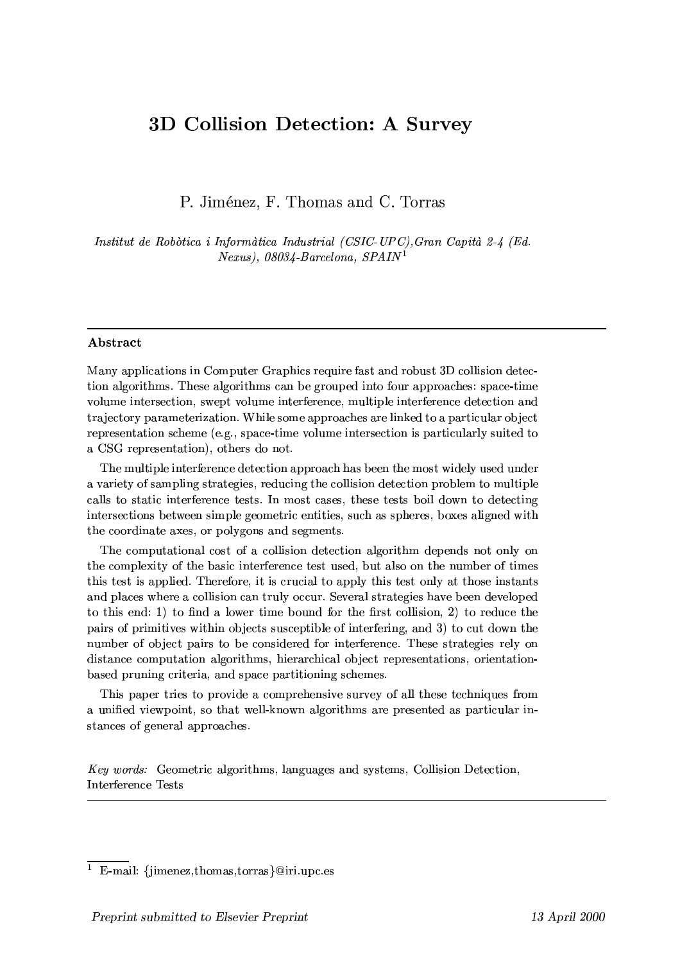# 3D Collision Detection: A Survey

P. Jiménez, F. Thomas and C. Torras

Institut de Robòtica i Informàtica Industrial (CSIC-UPC), Gran Capità 2-4 (Ed. Nexus), 08034-Barcelona,  $SPAIN<sup>1</sup>$ 

### Abstract

Many applications in Computer Graphics require fast and robust 3D collision detection algorithms. These algorithms can be grouped into four approaches: space-time volume intersection, swept volume interference, multiple interference detection and trajectory parameterization. While some approaches are linked to a particular object representation scheme (e.g., space-time volume intersection is particularly suited to a CSG representation), others do not.

The multiple interference detection approach has been the most widely used under a variety of sampling strategies, reducing the collision detection problem to multiple calls to static interference tests. In most cases, these tests boil down to detecting intersections between simple geometric entities, such as spheres, boxes aligned with the coordinate axes, or polygons and segments.

The computational cost of a collision detection algorithm depends not only on the complexity of the basic interference test used, but also on the number of times this test is applied. Therefore, it is crucial to apply this test only at those instants and places where a collision can truly occur. Several strategies have been developed to this end: 1) to find a lower time bound for the first collision, 2) to reduce the pairs of primitives within objects susceptible of interfering, and 3) to cut down the number of object pairs to be considered for interference. These strategies rely on distance computation algorithms, hierarchical object representations, orientationbased pruning criteria, and space partitioning schemes.

This paper tries to provide a comprehensive survey of all these techniques from a unified viewpoint, so that well-known algorithms are presented as particular instances of general approaches.

Key words: Geometric algorithms, languages and systems, Collision Detection, Interference Tests

 $\mathbf{1}$ E-mail: {jimenez,thomas,torras}@iri.upc.es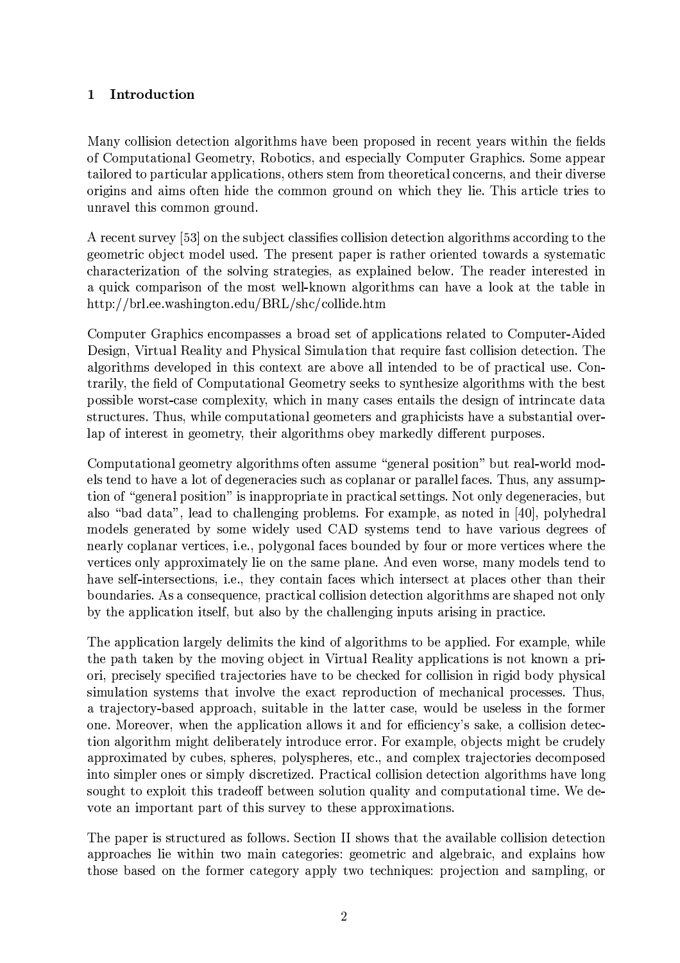#### $\mathbf{1}$ Introduction

Many collision detection algorithms have been proposed in recent years within the fields of Computational Geometry, Robotics, and especially Computer Graphics. Some appear tailored to particular applications, others stem from theoretical concerns, and their diverse origins and aims often hide the common ground on which they lie. This article tries to unravel this common ground.

A recent survey [53] on the subject classifies collision detection algorithms according to the geometric object model used. The present paper is rather oriented towards a systematic characterization of the solving strategies, as explained below. The reader interested in a quick comparison of the most well-known algorithms can have a look at the table in http://brl.ee.washington.edu/BRL/shc/collide.htm

Computer Graphics encompasses a broad set of applications related to Computer-Aided Design, Virtual Reality and Physical Simulation that require fast collision detection. The algorithms developed in this context are above all intended to be of practical use. Contrarily, the field of Computational Geometry seeks to synthesize algorithms with the best possible worst-case complexity, which in many cases entails the design of intrincate data structures. Thus, while computational geometers and graphicists have a substantial overlap of interest in geometry, their algorithms obey markedly different purposes.

Computational geometry algorithms often assume "general position" but real-world models tend to have a lot of degeneracies such as coplanar or parallel faces. Thus, any assumption of "general position" is inappropriate in practical settings. Not only degeneracies, but also "bad data", lead to challenging problems. For example, as noted in [40], polyhedral models generated by some widely used CAD systems tend to have various degrees of nearly coplanar vertices, i.e., polygonal faces bounded by four or more vertices where the vertices only approximately lie on the same plane. And even worse, many models tend to have self-intersections, i.e., they contain faces which intersect at places other than their boundaries. As a consequence, practical collision detection algorithms are shaped not only by the application itself, but also by the challenging inputs arising in practice.

The application largely delimits the kind of algorithms to be applied. For example, while the path taken by the moving object in Virtual Reality applications is not known a priori, precisely specified trajectories have to be checked for collision in rigid body physical simulation systems that involve the exact reproduction of mechanical processes. Thus, a trajectory-based approach, suitable in the latter case, would be useless in the former one. Moreover, when the application allows it and for efficiency's sake, a collision detection algorithm might deliberately introduce error. For example, objects might be crudely approximated by cubes, spheres, polyspheres, etc., and complex trajectories decomposed into simpler ones or simply discretized. Practical collision detection algorithms have long sought to exploit this tradeoff between solution quality and computational time. We devote an important part of this survey to these approximations.

The paper is structured as follows. Section II shows that the available collision detection approaches lie within two main categories: geometric and algebraic, and explains how those based on the former category apply two techniques: projection and sampling, or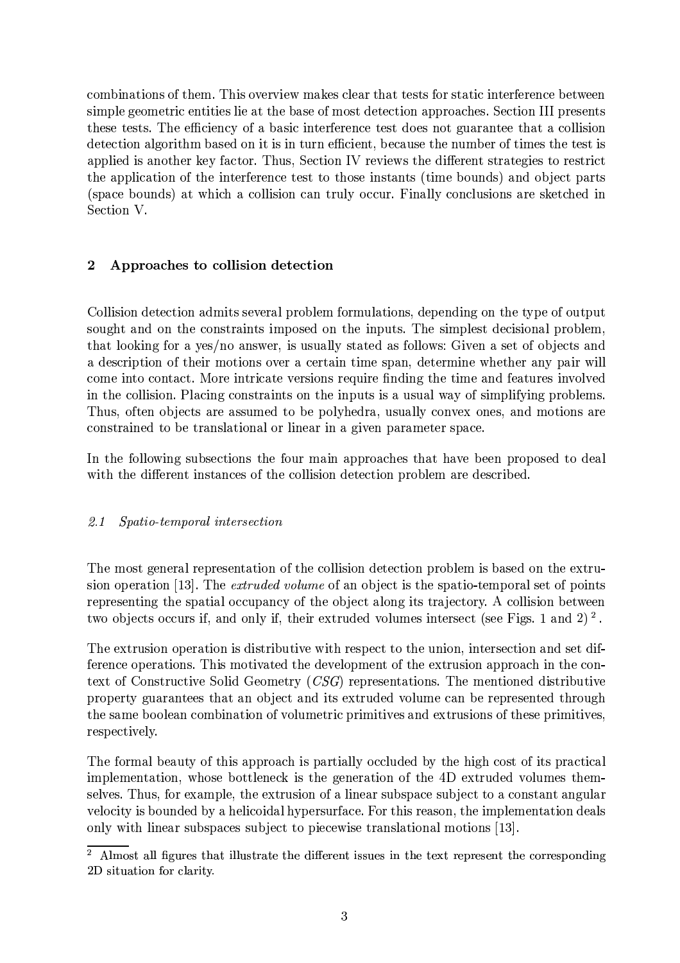combinations of them. This overview makes clear that tests for static interference between simple geometric entities lie at the base of most detection approaches. Section III presents these tests. The efficiency of a basic interference test does not guarantee that a collision detection algorithm based on it is in turn efficient, because the number of times the test is applied is another key factor. Thus, Section IV reviews the different strategies to restrict the application of the interference test to those instants (time bounds) and object parts (space bounds) at which a collision can truly occur. Finally conclusions are sketched in Section V.

#### $\overline{2}$ Approaches to collision detection

Collision detection admits several problem formulations, depending on the type of output sought and on the constraints imposed on the inputs. The simplest decisional problem, that looking for a yes/no answer, is usually stated as follows: Given a set of objects and a description of their motions over a certain time span, determine whether any pair will come into contact. More intricate versions require finding the time and features involved in the collision. Placing constraints on the inputs is a usual way of simplifying problems. Thus, often objects are assumed to be polyhedra, usually convex ones, and motions are constrained to be translational or linear in a given parameter space.

In the following subsections the four main approaches that have been proposed to deal with the different instances of the collision detection problem are described.

#### 2.1 Spatio-temporal intersection

The most general representation of the collision detection problem is based on the extrusion operation [13]. The *extruded volume* of an object is the spatio-temporal set of points representing the spatial occupancy of the object along its trajectory. A collision between two objects occurs if, and only if, their extruded volumes intersect (see Figs. 1 and  $2^2$ ).

The extrusion operation is distributive with respect to the union, intersection and set difference operations. This motivated the development of the extrusion approach in the context of Constructive Solid Geometry (CSG) representations. The mentioned distributive property guarantees that an object and its extruded volume can be represented through the same boolean combination of volumetric primitives and extrusions of these primitives. respectively.

The formal beauty of this approach is partially occluded by the high cost of its practical implementation, whose bottleneck is the generation of the 4D extruded volumes themselves. Thus, for example, the extrusion of a linear subspace subject to a constant angular velocity is bounded by a helicoidal hypersurface. For this reason, the implementation deals only with linear subspaces subject to piecewise translational motions [13].

 $2$  Almost all figures that illustrate the different issues in the text represent the corresponding 2D situation for clarity.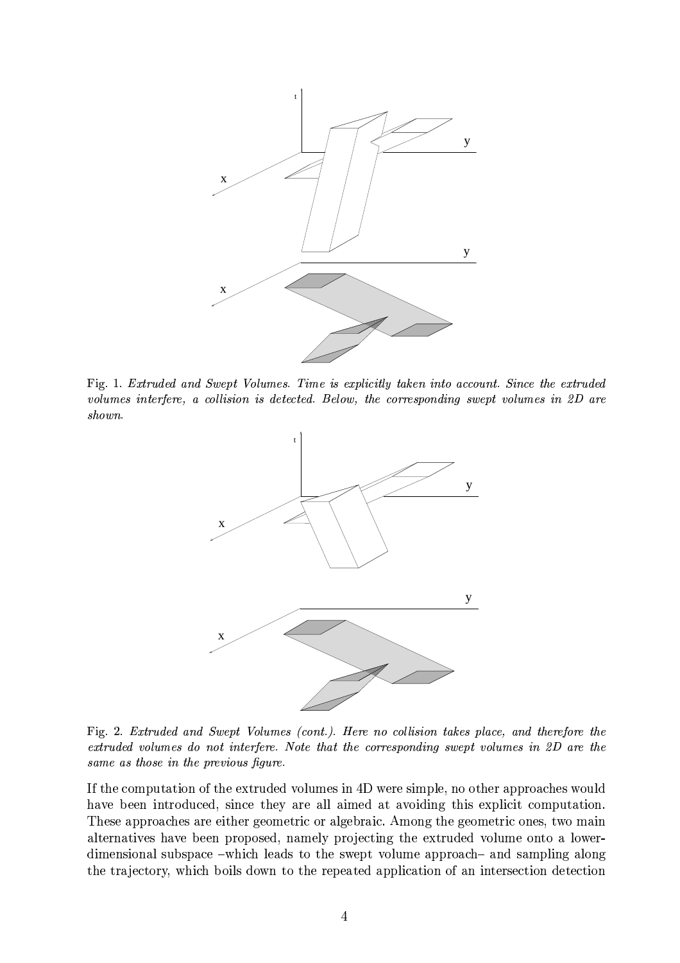

Fig. 1. Extruded and Swept Volumes. Time is explicitly taken into account. Since the extruded volumes interfere, a collision is detected. Below, the corresponding swept volumes in 2D are  $shown.$ 



Fig. 2. Extruded and Swept Volumes (cont.). Here no collision takes place, and therefore the extruded volumes do not interfere. Note that the corresponding swept volumes in 2D are the same as those in the previous figure.

If the computation of the extruded volumes in 4D were simple, no other approaches would have been introduced, since they are all aimed at avoiding this explicit computation. These approaches are either geometric or algebraic. Among the geometric ones, two main alternatives have been proposed, namely projecting the extruded volume onto a lowerdimensional subspace -which leads to the swept volume approach- and sampling along the trajectory, which boils down to the repeated application of an intersection detection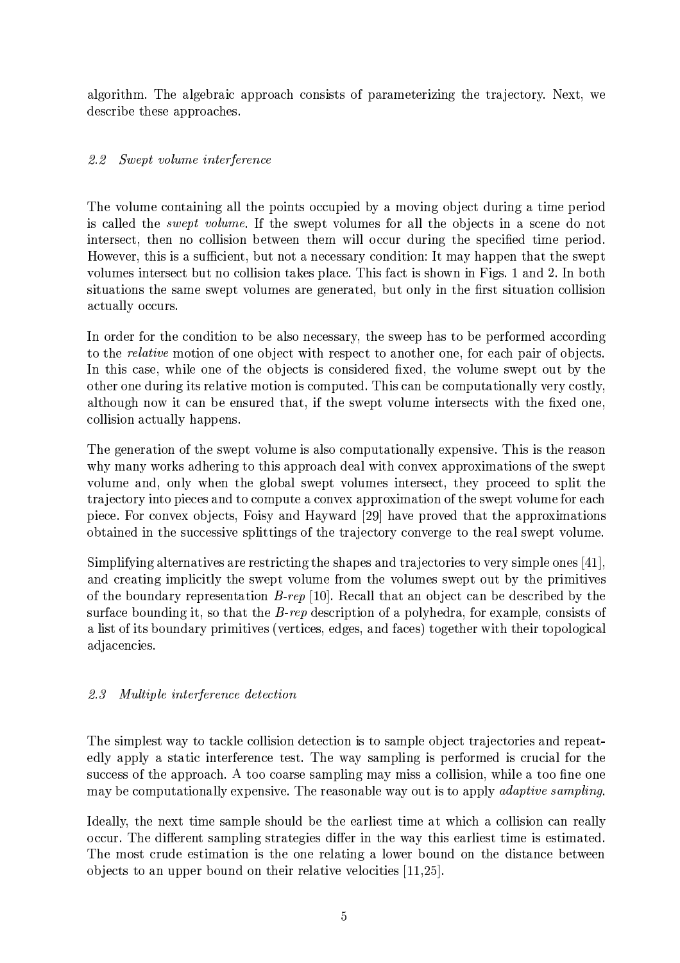algorithm. The algebraic approach consists of parameterizing the trajectory. Next, we describe these approaches.

#### 2.2 Swept volume interference

The volume containing all the points occupied by a moving object during a time period is called the *swept volume*. If the swept volumes for all the objects in a scene do not intersect, then no collision between them will occur during the specified time period. However, this is a sufficient, but not a necessary condition: It may happen that the swept volumes intersect but no collision takes place. This fact is shown in Figs. 1 and 2. In both situations the same swept volumes are generated, but only in the first situation collision actually occurs.

In order for the condition to be also necessary, the sweep has to be performed according to the *relative* motion of one object with respect to another one, for each pair of objects. In this case, while one of the objects is considered fixed, the volume swept out by the other one during its relative motion is computed. This can be computationally very costly, although now it can be ensured that, if the swept volume intersects with the fixed one, collision actually happens.

The generation of the swept volume is also computationally expensive. This is the reason why many works adhering to this approach deal with convex approximations of the swept volume and, only when the global swept volumes intersect, they proceed to split the trajectory into pieces and to compute a convex approximation of the swept volume for each piece. For convex objects, Foisy and Hayward [29] have proved that the approximations obtained in the successive splittings of the trajectory converge to the real swept volume.

Simplifying alternatives are restricting the shapes and trajectories to very simple ones [41]. and creating implicitly the swept volume from the volumes swept out by the primitives of the boundary representation  $B$ -rep [10]. Recall that an object can be described by the surface bounding it, so that the B-rep description of a polyhedra, for example, consists of a list of its boundary primitives (vertices, edges, and faces) together with their topological adjacencies.

#### 2.3 Multiple interference detection

The simplest way to tackle collision detection is to sample object trajectories and repeatedly apply a static interference test. The way sampling is performed is crucial for the success of the approach. A too coarse sampling may miss a collision, while a too fine one may be computationally expensive. The reasonable way out is to apply *adaptive sampling*.

Ideally, the next time sample should be the earliest time at which a collision can really occur. The different sampling strategies differ in the way this earliest time is estimated. The most crude estimation is the one relating a lower bound on the distance between objects to an upper bound on their relative velocities  $[11,25]$ .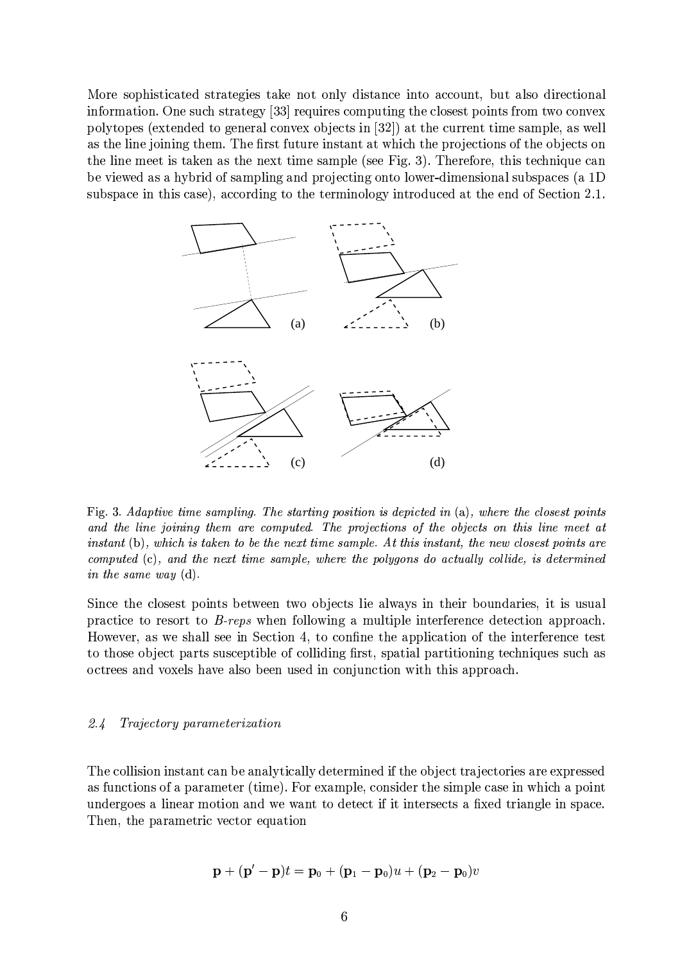More sophisticated strategies take not only distance into account, but also directional information. One such strategy [33] requires computing the closest points from two convex polytopes (extended to general convex objects in [32]) at the current time sample, as well as the line joining them. The first future instant at which the projections of the objects on the line meet is taken as the next time sample (see Fig. 3). Therefore, this technique can be viewed as a hybrid of sampling and projecting onto lower-dimensional subspaces (a 1D) subspace in this case), according to the terminology introduced at the end of Section 2.1.



Fig. 3. Adaptive time sampling. The starting position is depicted in  $(a)$ , where the closest points and the line joining them are computed. The projections of the objects on this line meet at instant (b), which is taken to be the next time sample. At this instant, the new closest points are computed (c), and the next time sample, where the polygons do actually collide, is determined in the same way  $(d)$ .

Since the closest points between two objects lie always in their boundaries, it is usual practice to resort to *B-reps* when following a multiple interference detection approach. However, as we shall see in Section 4, to confine the application of the interference test to those object parts susceptible of colliding first, spatial partitioning techniques such as octrees and voxels have also been used in conjunction with this approach.

#### $2.4$ Trajectory parameterization

The collision instant can be analytically determined if the object trajectories are expressed as functions of a parameter (time). For example, consider the simple case in which a point undergoes a linear motion and we want to detect if it intersects a fixed triangle in space. Then, the parametric vector equation

$$
\mathbf{p} + (\mathbf{p}' - \mathbf{p})t = \mathbf{p}_0 + (\mathbf{p}_1 - \mathbf{p}_0)u + (\mathbf{p}_2 - \mathbf{p}_0)v
$$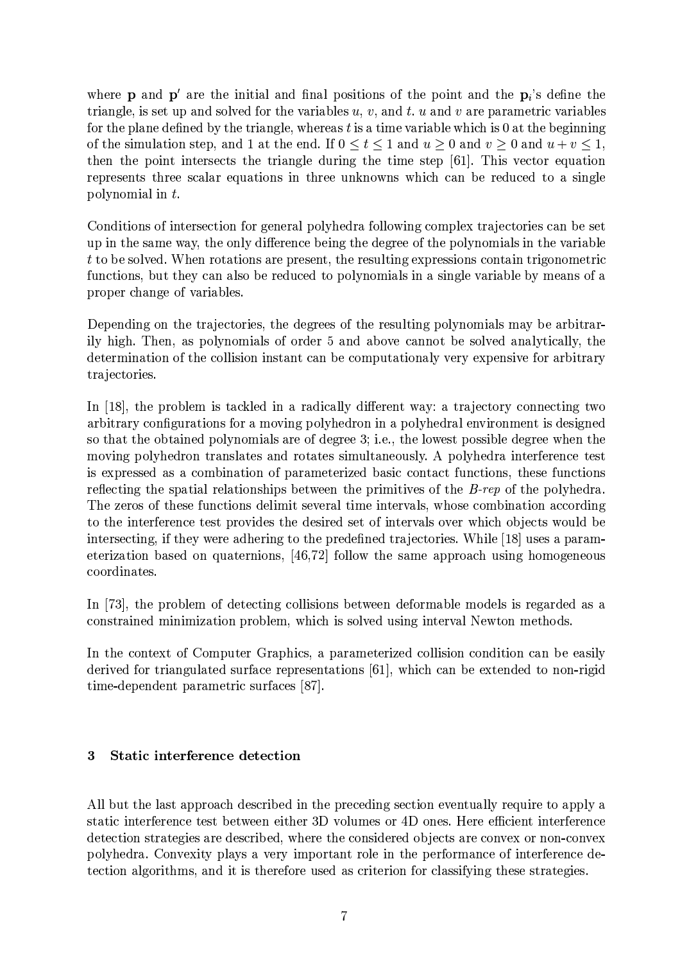where **p** and **p'** are the initial and final positions of the point and the **p**<sub>i</sub>'s define the triangle, is set up and solved for the variables  $u, v$ , and  $t, u$  and  $v$  are parametric variables for the plane defined by the triangle, whereas  $t$  is a time variable which is 0 at the beginning of the simulation step, and 1 at the end. If  $0 \le t \le 1$  and  $u \ge 0$  and  $v \ge 0$  and  $u + v \le 1$ , then the point intersects the triangle during the time step [61]. This vector equation represents three scalar equations in three unknowns which can be reduced to a single polynomial in  $t$ .

Conditions of intersection for general polyhedra following complex trajectories can be set up in the same way, the only difference being the degree of the polynomials in the variable t to be solved. When rotations are present, the resulting expressions contain trigonometric functions, but they can also be reduced to polynomials in a single variable by means of a proper change of variables.

Depending on the trajectories, the degrees of the resulting polynomials may be arbitrarily high. Then, as polynomials of order 5 and above cannot be solved analytically, the determination of the collision instant can be computationaly very expensive for arbitrary trajectories.

In [18], the problem is tackled in a radically different way: a trajectory connecting two arbitrary configurations for a moving polyhedron in a polyhedral environment is designed so that the obtained polynomials are of degree 3; i.e., the lowest possible degree when the moving polyhedron translates and rotates simultaneously. A polyhedra interference test is expressed as a combination of parameterized basic contact functions, these functions reflecting the spatial relationships between the primitives of the  $B$ -rep of the polyhedra. The zeros of these functions delimit several time intervals, whose combination according to the interference test provides the desired set of intervals over which objects would be intersecting, if they were adhering to the predefined trajectories. While [18] uses a parameterization based on quaternions, [46,72] follow the same approach using homogeneous coordinates.

In [73], the problem of detecting collisions between deformable models is regarded as a constrained minimization problem, which is solved using interval Newton methods.

In the context of Computer Graphics, a parameterized collision condition can be easily derived for triangulated surface representations [61], which can be extended to non-rigid time-dependent parametric surfaces [87].

#### $\bf{3}$ Static interference detection

All but the last approach described in the preceding section eventually require to apply a static interference test between either 3D volumes or 4D ones. Here efficient interference detection strategies are described, where the considered objects are convex or non-convex polyhedra. Convexity plays a very important role in the performance of interference detection algorithms, and it is therefore used as criterion for classifying these strategies.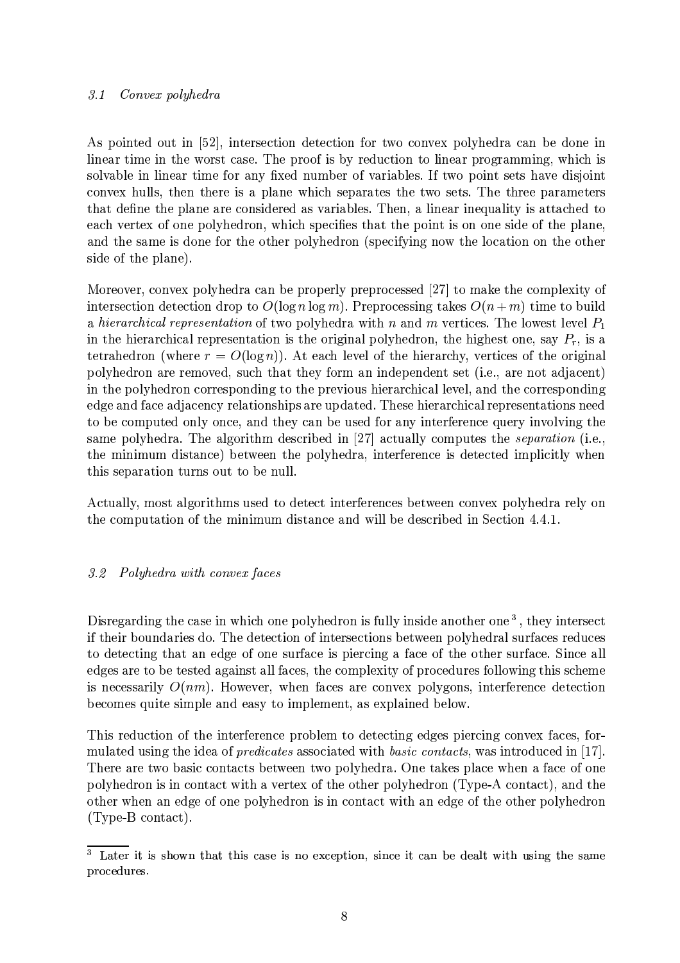#### $3.1$ Convex polyhedra

As pointed out in [52], intersection detection for two convex polyhedra can be done in linear time in the worst case. The proof is by reduction to linear programming, which is solvable in linear time for any fixed number of variables. If two point sets have disjoint convex hulls, then there is a plane which separates the two sets. The three parameters that define the plane are considered as variables. Then, a linear inequality is attached to each vertex of one polyhedron, which specifies that the point is on one side of the plane, and the same is done for the other polyhedron (specifying now the location on the other side of the plane).

Moreover, convex polyhedra can be properly preprocessed [27] to make the complexity of intersection detection drop to  $O(\log n \log m)$ . Preprocessing takes  $O(n+m)$  time to build a hierarchical representation of two polyhedra with n and m vertices. The lowest level  $P_1$ in the hierarchical representation is the original polyhedron, the highest one, say  $P_r$ , is a tetrahedron (where  $r = O(\log n)$ ). At each level of the hierarchy, vertices of the original polyhedron are removed, such that they form an independent set (i.e., are not adjacent) in the polyhedron corresponding to the previous hierarchical level, and the corresponding edge and face adjacency relationships are updated. These hierarchical representations need to be computed only once, and they can be used for any interference query involving the same polyhedra. The algorithm described in [27] actually computes the *separation* (i.e., the minimum distance) between the polyhedra, interference is detected implicitly when this separation turns out to be null.

Actually, most algorithms used to detect interferences between convex polyhedra rely on the computation of the minimum distance and will be described in Section 4.4.1.

#### $3.2$ Polyhedra with convex faces

Disregarding the case in which one polyhedron is fully inside another one<sup>3</sup>, they intersect if their boundaries do. The detection of intersections between polyhedral surfaces reduces to detecting that an edge of one surface is piercing a face of the other surface. Since all edges are to be tested against all faces, the complexity of procedures following this scheme is necessarily  $O(nm)$ . However, when faces are convex polygons, interference detection becomes quite simple and easy to implement, as explained below.

This reduction of the interference problem to detecting edges piercing convex faces, formulated using the idea of *predicates* associated with *basic contacts*, was introduced in [17]. There are two basic contacts between two polyhedra. One takes place when a face of one polyhedron is in contact with a vertex of the other polyhedron (Type-A contact), and the other when an edge of one polyhedron is in contact with an edge of the other polyhedron (Type-B contact).

Later it is shown that this case is no exception, since it can be dealt with using the same procedures.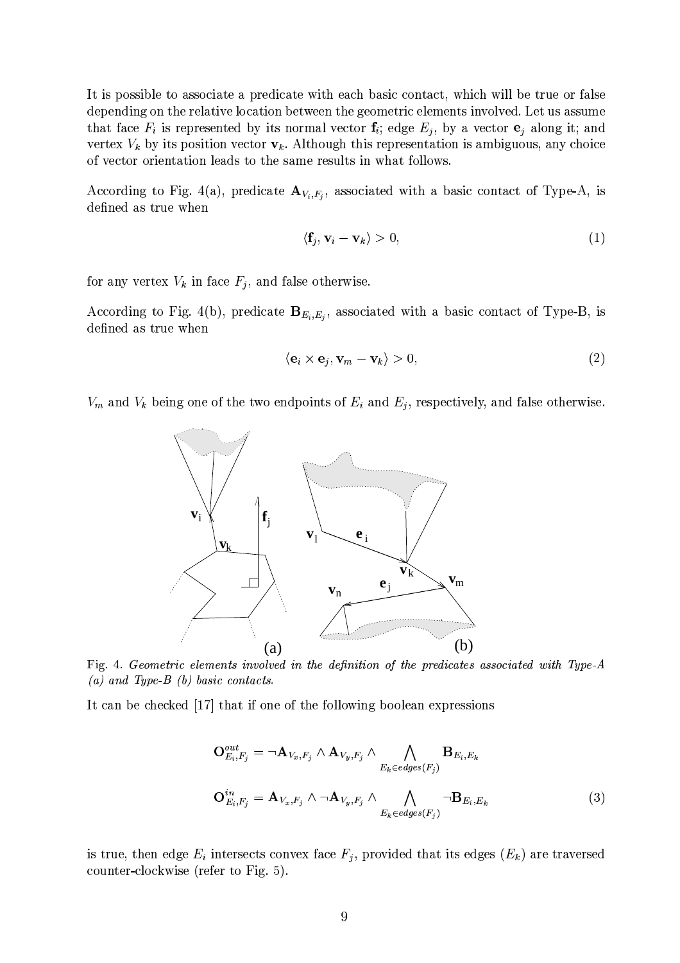It is possible to associate a predicate with each basic contact, which will be true or false depending on the relative location between the geometric elements involved. Let us assume that face  $F_i$  is represented by its normal vector  $f_i$ ; edge  $E_j$ , by a vector  $e_j$  along it; and vertex  $V_k$  by its position vector  $\mathbf{v}_k$ . Although this representation is ambiguous, any choice of vector orientation leads to the same results in what follows.

According to Fig. 4(a), predicate  $\mathbf{A}_{V_i,F_j}$ , associated with a basic contact of Type-A, is defined as true when

$$
\langle \mathbf{f}_j, \mathbf{v}_i - \mathbf{v}_k \rangle > 0,\tag{1}
$$

for any vertex  $V_k$  in face  $F_j$ , and false otherwise.

According to Fig. 4(b), predicate  $B_{E_i,E_j}$ , associated with a basic contact of Type-B, is defined as true when

$$
\langle \mathbf{e}_i \times \mathbf{e}_j, \mathbf{v}_m - \mathbf{v}_k \rangle > 0, \tag{2}
$$

 $V_m$  and  $V_k$  being one of the two endpoints of  $E_i$  and  $E_j$ , respectively, and false otherwise.



Fig. 4. Geometric elements involved in the definition of the predicates associated with Type-A (a) and Type-B  $(b)$  basic contacts.

It can be checked [17] that if one of the following boolean expressions

$$
\mathbf{O}_{E_i, F_j}^{out} = \neg \mathbf{A}_{V_x, F_j} \land \mathbf{A}_{V_y, F_j} \land \bigwedge_{E_k \in edges(F_j)} \mathbf{B}_{E_i, E_k}
$$
  
\n
$$
\mathbf{O}_{E_i, F_j}^{in} = \mathbf{A}_{V_x, F_j} \land \neg \mathbf{A}_{V_y, F_j} \land \bigwedge_{E_k \in edges(F_j)} \neg \mathbf{B}_{E_i, E_k}
$$
\n(3)

is true, then edge  $E_i$  intersects convex face  $F_j$ , provided that its edges  $(E_k)$  are traversed counter-clockwise (refer to Fig. 5).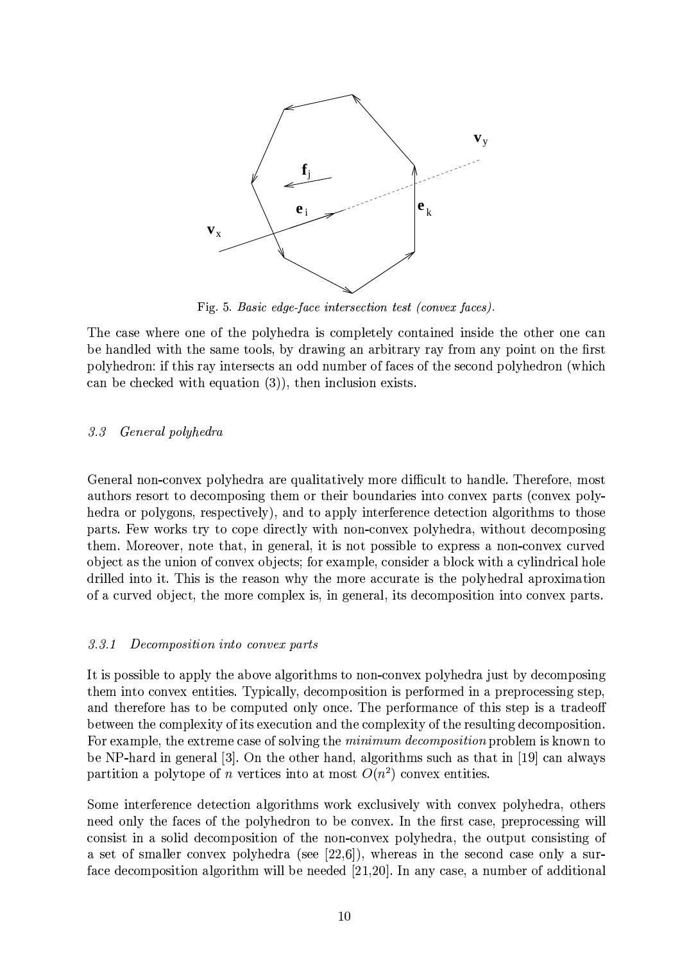

Fig. 5. Basic edge-face intersection test (convex faces).

The case where one of the polyhedra is completely contained inside the other one can be handled with the same tools, by drawing an arbitrary ray from any point on the first polyhedron: if this ray intersects an odd number of faces of the second polyhedron (which can be checked with equation  $(3)$ , then inclusion exists.

#### $3.3$ General polyhedra

General non-convex polyhedra are qualitatively more difficult to handle. Therefore, most authors resort to decomposing them or their boundaries into convex parts (convex polyhedra or polygons, respectively), and to apply interference detection algorithms to those parts. Few works try to cope directly with non-convex polyhedra, without decomposing them. Moreover, note that, in general, it is not possible to express a non-convex curved object as the union of convex objects; for example, consider a block with a cylindrical hole drilled into it. This is the reason why the more accurate is the polyhedral aproximation of a curved object, the more complex is, in general, its decomposition into convex parts.

#### $3.3.1$ Decomposition into convex parts

It is possible to apply the above algorithms to non-convex polyhedra just by decomposing them into convex entities. Typically, decomposition is performed in a preprocessing step, and therefore has to be computed only once. The performance of this step is a tradeoff between the complexity of its execution and the complexity of the resulting decomposition. For example, the extreme case of solving the minimum decomposition problem is known to be NP-hard in general [3]. On the other hand, algorithms such as that in [19] can always partition a polytope of *n* vertices into at most  $O(n^2)$  convex entities.

Some interference detection algorithms work exclusively with convex polyhedra, others need only the faces of the polyhedron to be convex. In the first case, preprocessing will consist in a solid decomposition of the non-convex polyhedra, the output consisting of a set of smaller convex polyhedra (see [22,6]), whereas in the second case only a surface decomposition algorithm will be needed [21,20]. In any case, a number of additional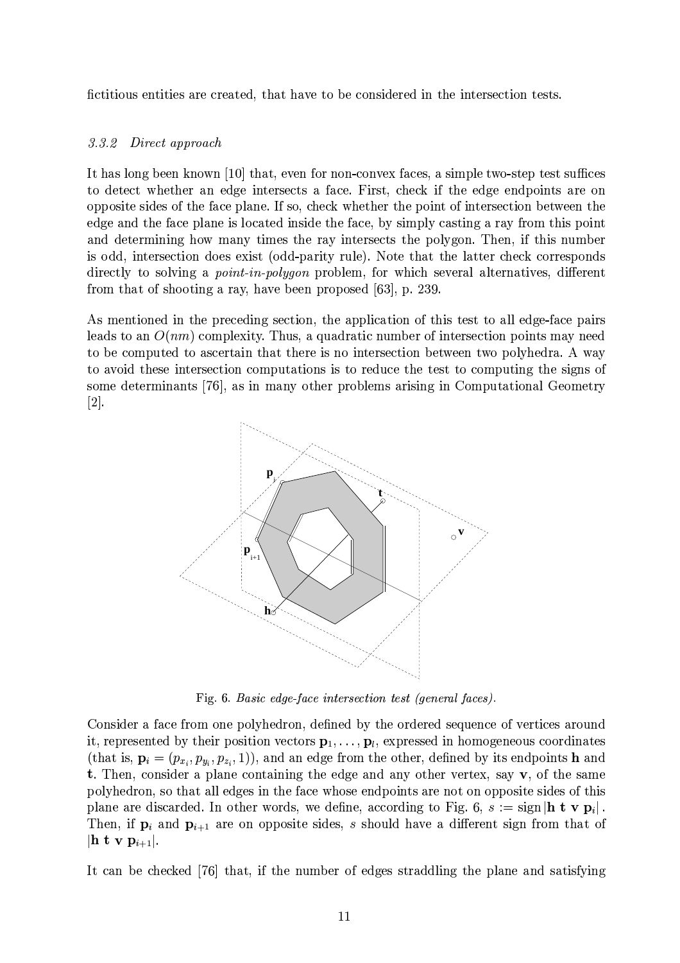fictitious entities are created, that have to be considered in the intersection tests.

#### $3.3.2$ Direct approach

It has long been known [10] that, even for non-convex faces, a simple two-step test suffices to detect whether an edge intersects a face. First, check if the edge endpoints are on opposite sides of the face plane. If so, check whether the point of intersection between the edge and the face plane is located inside the face, by simply casting a ray from this point and determining how many times the ray intersects the polygon. Then, if this number is odd, intersection does exist (odd-parity rule). Note that the latter check corresponds directly to solving a *point-in-polygon* problem, for which several alternatives, different from that of shooting a ray, have been proposed [63], p. 239.

As mentioned in the preceding section, the application of this test to all edge-face pairs leads to an  $O(nm)$  complexity. Thus, a quadratic number of intersection points may need to be computed to ascertain that there is no intersection between two polyhedra. A way to avoid these intersection computations is to reduce the test to computing the signs of some determinants [76], as in many other problems arising in Computational Geometry  $|2|$ .



Fig. 6. Basic edge-face intersection test (general faces).

Consider a face from one polyhedron, defined by the ordered sequence of vertices around it, represented by their position vectors  $\mathbf{p}_1, \ldots, \mathbf{p}_l$ , expressed in homogeneous coordinates (that is,  $\mathbf{p}_i = (p_{x_i}, p_{y_i}, p_{z_i}, 1)$ ), and an edge from the other, defined by its endpoints **h** and t. Then, consider a plane containing the edge and any other vertex, say  $\mathbf{v}$ , of the same polyhedron, so that all edges in the face whose endpoints are not on opposite sides of this plane are discarded. In other words, we define, according to Fig. 6,  $s := \text{sign} |\mathbf{h} \mathbf{t} \mathbf{v} \mathbf{p}_i|$ . Then, if  $\mathbf{p}_i$  and  $\mathbf{p}_{i+1}$  are on opposite sides, s should have a different sign from that of  $|\mathbf{h} \mathbf{t} \mathbf{v} \mathbf{p}_{i+1}|$ .

It can be checked [76] that, if the number of edges straddling the plane and satisfying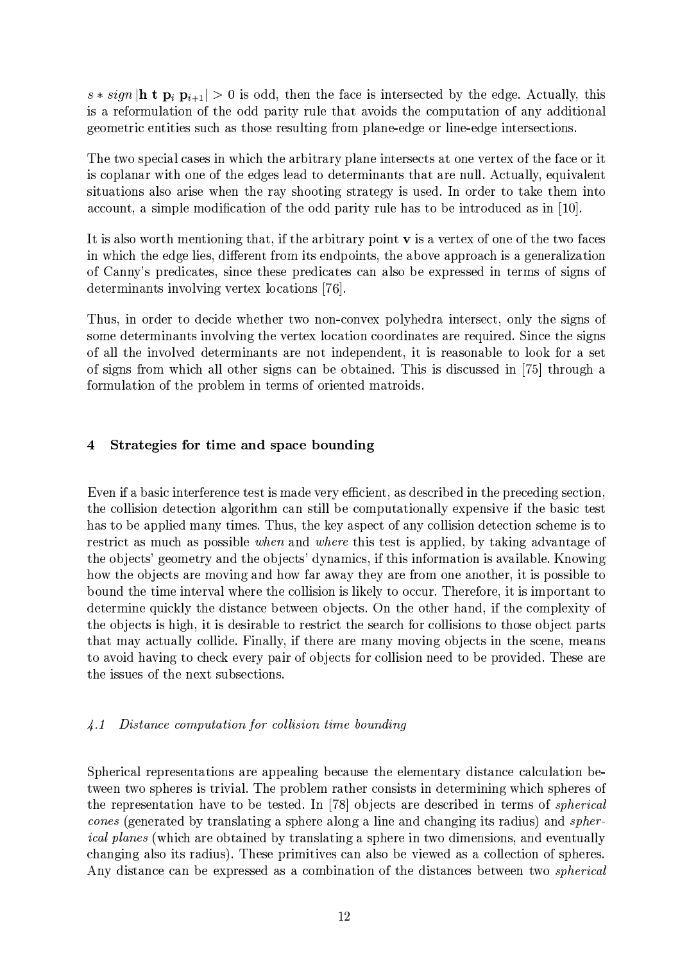$s * sign \vert h \cdot p_i \vert_p \vert > 0$  is odd, then the face is intersected by the edge. Actually, this is a reformulation of the odd parity rule that avoids the computation of any additional geometric entities such as those resulting from plane-edge or line-edge intersections.

The two special cases in which the arbitrary plane intersects at one vertex of the face or it is coplanar with one of the edges lead to determinants that are null. Actually, equivalent situations also arise when the ray shooting strategy is used. In order to take them into account, a simple modification of the odd parity rule has to be introduced as in [10].

It is also worth mentioning that, if the arbitrary point  $\bf{v}$  is a vertex of one of the two faces in which the edge lies, different from its endpoints, the above approach is a generalization of Canny's predicates, since these predicates can also be expressed in terms of signs of determinants involving vertex locations [76].

Thus, in order to decide whether two non-convex polyhedra intersect, only the signs of some determinants involving the vertex location coordinates are required. Since the signs of all the involved determinants are not independent, it is reasonable to look for a set of signs from which all other signs can be obtained. This is discussed in [75] through a formulation of the problem in terms of oriented matroids.

#### $\overline{\mathbf{4}}$ Strategies for time and space bounding

Even if a basic interference test is made very efficient, as described in the preceding section, the collision detection algorithm can still be computationally expensive if the basic test has to be applied many times. Thus, the key aspect of any collision detection scheme is to restrict as much as possible when and where this test is applied, by taking advantage of the objects' geometry and the objects' dynamics, if this information is available. Knowing how the objects are moving and how far away they are from one another, it is possible to bound the time interval where the collision is likely to occur. Therefore, it is important to determine quickly the distance between objects. On the other hand, if the complexity of the objects is high, it is desirable to restrict the search for collisions to those object parts that may actually collide. Finally, if there are many moving objects in the scene, means to avoid having to check every pair of objects for collision need to be provided. These are the issues of the next subsections.

#### $\lambda$ .1 Distance computation for collision time bounding

Spherical representations are appealing because the elementary distance calculation between two spheres is trivial. The problem rather consists in determining which spheres of the representation have to be tested. In [78] objects are described in terms of *spherical* cones (generated by translating a sphere along a line and changing its radius) and spher*ical planes* (which are obtained by translating a sphere in two dimensions, and eventually changing also its radius). These primitives can also be viewed as a collection of spheres. Any distance can be expressed as a combination of the distances between two *spherical*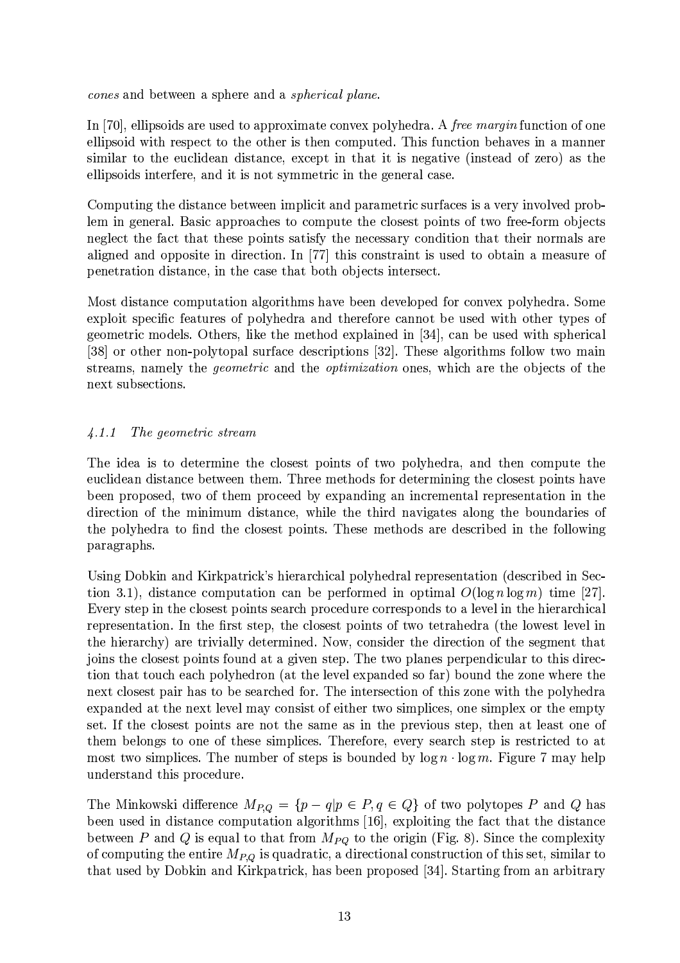cones and between a sphere and a *spherical plane*.

In [70], ellipsoids are used to approximate convex polyhedra. A *free margin* function of one ellipsoid with respect to the other is then computed. This function behaves in a manner similar to the euclidean distance, except in that it is negative (instead of zero) as the ellipsoids interfere, and it is not symmetric in the general case.

Computing the distance between implicit and parametric surfaces is a very involved problem in general. Basic approaches to compute the closest points of two free-form objects neglect the fact that these points satisfy the necessary condition that their normals are aligned and opposite in direction. In [77] this constraint is used to obtain a measure of penetration distance, in the case that both objects intersect.

Most distance computation algorithms have been developed for convex polyhedra. Some exploit specific features of polyhedra and therefore cannot be used with other types of geometric models. Others, like the method explained in [34], can be used with spherical [38] or other non-polytopal surface descriptions [32]. These algorithms follow two main streams, namely the *geometric* and the *optimization* ones, which are the objects of the next subsections.

#### $4.1.1$ The geometric stream

The idea is to determine the closest points of two polyhedra, and then compute the euclidean distance between them. Three methods for determining the closest points have been proposed, two of them proceed by expanding an incremental representation in the direction of the minimum distance, while the third navigates along the boundaries of the polyhedra to find the closest points. These methods are described in the following paragraphs.

Using Dobkin and Kirkpatrick's hierarchical polyhedral representation (described in Section 3.1), distance computation can be performed in optimal  $O(\log n \log m)$  time [27]. Every step in the closest points search procedure corresponds to a level in the hierarchical representation. In the first step, the closest points of two tetrahedra (the lowest level in the hierarchy) are trivially determined. Now, consider the direction of the segment that joins the closest points found at a given step. The two planes perpendicular to this direction that touch each polyhedron (at the level expanded so far) bound the zone where the next closest pair has to be searched for. The intersection of this zone with the polyhedra expanded at the next level may consist of either two simplices, one simplex or the empty set. If the closest points are not the same as in the previous step, then at least one of them belongs to one of these simplices. Therefore, every search step is restricted to at most two simplices. The number of steps is bounded by  $\log n \cdot \log m$ . Figure 7 may help understand this procedure.

The Minkowski difference  $M_{P,Q} = \{p - q | p \in P, q \in Q\}$  of two polytopes P and Q has been used in distance computation algorithms [16], exploiting the fact that the distance between P and Q is equal to that from  $M_{PQ}$  to the origin (Fig. 8). Since the complexity of computing the entire  $M_{P,Q}$  is quadratic, a directional construction of this set, similar to that used by Dobkin and Kirkpatrick, has been proposed [34]. Starting from an arbitrary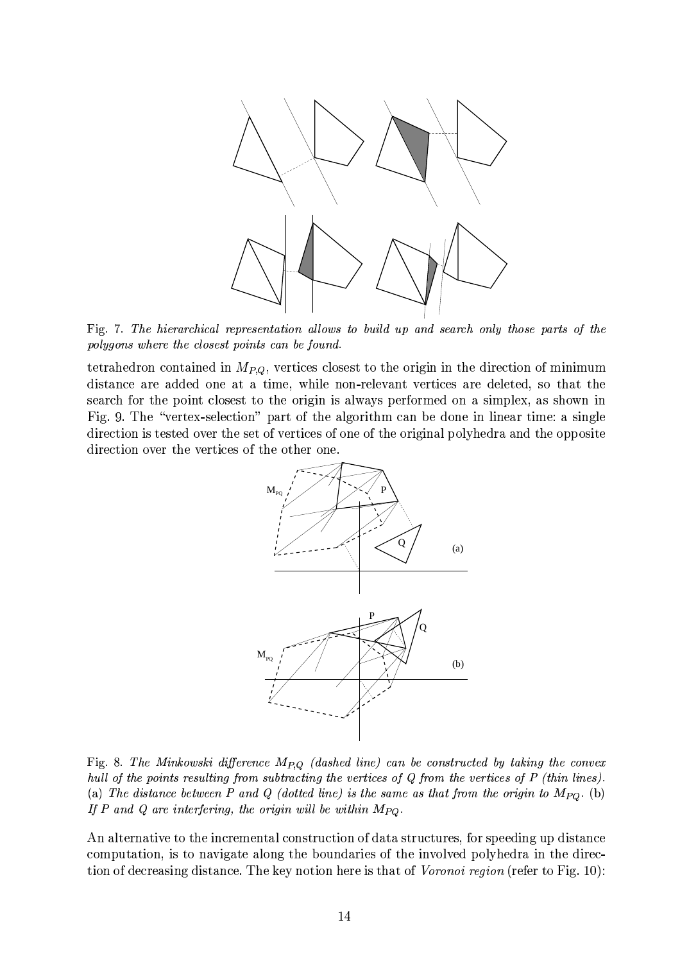

Fig. 7. The hierarchical representation allows to build up and search only those parts of the polygons where the closest points can be found.

tetrahedron contained in  $M_{P,Q}$ , vertices closest to the origin in the direction of minimum distance are added one at a time, while non-relevant vertices are deleted, so that the search for the point closest to the origin is always performed on a simplex, as shown in Fig. 9. The "vertex-selection" part of the algorithm can be done in linear time: a single direction is tested over the set of vertices of one of the original polyhedra and the opposite direction over the vertices of the other one.



Fig. 8. The Minkowski difference  $M_{P,Q}$  (dashed line) can be constructed by taking the convex hull of the points resulting from subtracting the vertices of  $Q$  from the vertices of  $P$  (thin lines). (a) The distance between P and Q (dotted line) is the same as that from the origin to  $M_{PO}$ . (b) If P and Q are interfering, the origin will be within  $M_{PQ}$ .

An alternative to the incremental construction of data structures, for speeding up distance computation, is to navigate along the boundaries of the involved polyhedra in the direction of decreasing distance. The key notion here is that of Voronoi region (refer to Fig. 10):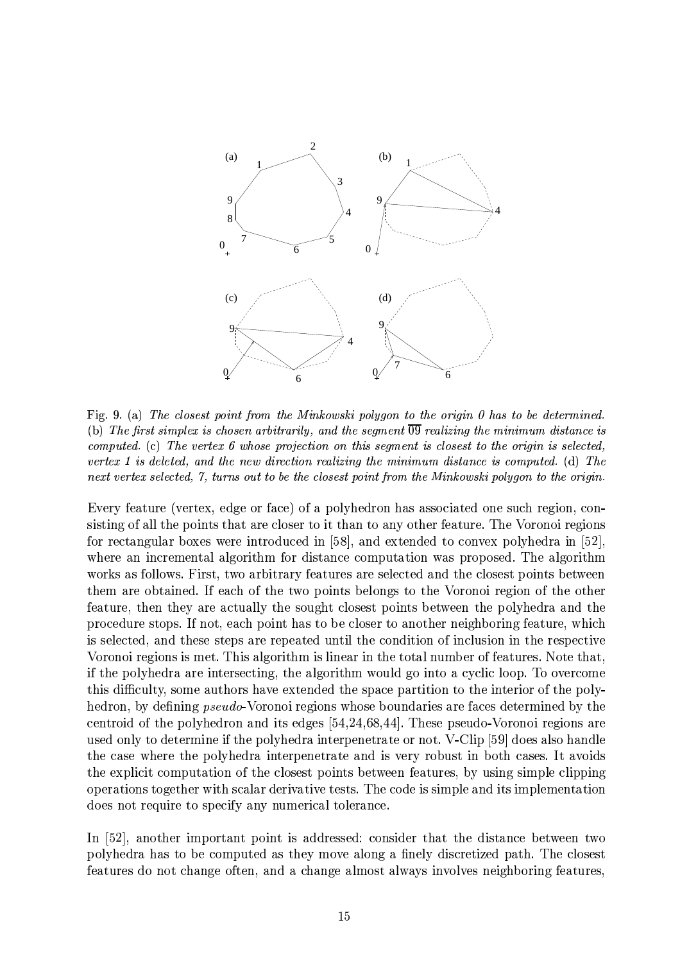

Fig. 9. (a) The closest point from the Minkowski polygon to the origin 0 has to be determined. (b) The first simplex is chosen arbitrarily, and the segment  $\overline{09}$  realizing the minimum distance is computed. (c) The vertex 6 whose projection on this segment is closest to the origin is selected, vertex 1 is deleted, and the new direction realizing the minimum distance is computed. (d) The next vertex selected, 7, turns out to be the closest point from the Minkowski polygon to the origin.

Every feature (vertex, edge or face) of a polyhedron has associated one such region, consisting of all the points that are closer to it than to any other feature. The Voronoi regions for rectangular boxes were introduced in [58], and extended to convex polyhedra in [52]. where an incremental algorithm for distance computation was proposed. The algorithm works as follows. First, two arbitrary features are selected and the closest points between them are obtained. If each of the two points belongs to the Voronoi region of the other feature, then they are actually the sought closest points between the polyhedra and the procedure stops. If not, each point has to be closer to another neighboring feature, which is selected, and these steps are repeated until the condition of inclusion in the respective Voronoi regions is met. This algorithm is linear in the total number of features. Note that, if the polyhedra are intersecting, the algorithm would go into a cyclic loop. To overcome this difficulty, some authors have extended the space partition to the interior of the polyhedron, by defining *pseudo*-Voronoi regions whose boundaries are faces determined by the centroid of the polyhedron and its edges  $[54,24,68,44]$ . These pseudo-Voronoi regions are used only to determine if the polyhedra interpenetrate or not. V-Clip [59] does also handle the case where the polyhedra interpenetrate and is very robust in both cases. It avoids the explicit computation of the closest points between features, by using simple clipping operations together with scalar derivative tests. The code is simple and its implementation does not require to specify any numerical tolerance.

In  $[52]$ , another important point is addressed: consider that the distance between two polyhedra has to be computed as they move along a finely discretized path. The closest features do not change often, and a change almost always involves neighboring features,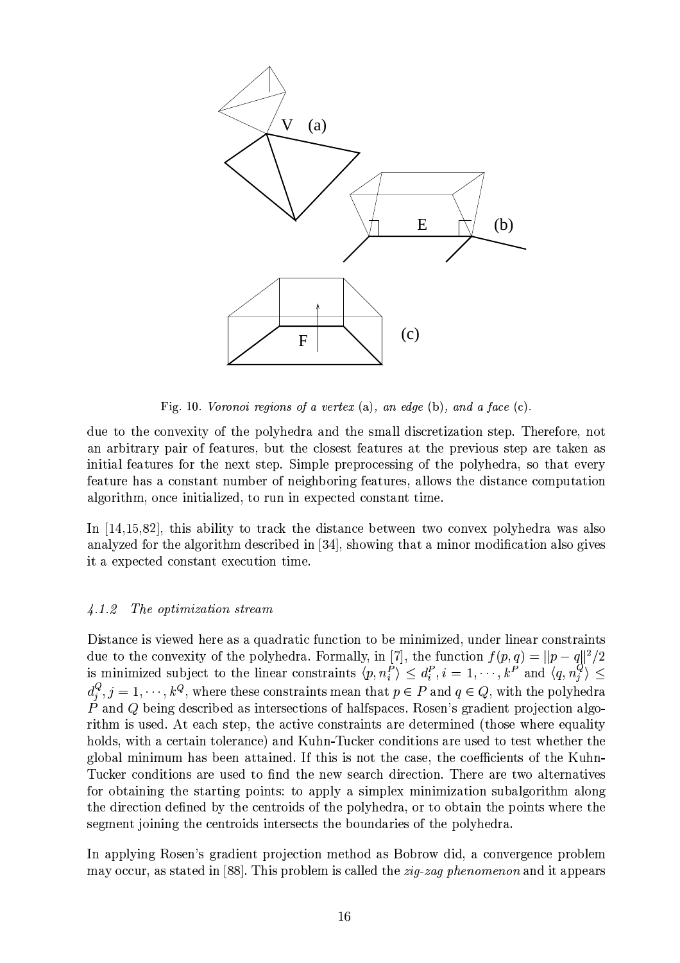

Fig. 10. Voronoi regions of a vertex (a), an edge (b), and a face (c).

due to the convexity of the polyhedra and the small discretization step. Therefore, not an arbitrary pair of features, but the closest features at the previous step are taken as initial features for the next step. Simple preprocessing of the polyhedra, so that every feature has a constant number of neighboring features, allows the distance computation algorithm, once initialized, to run in expected constant time.

In  $[14,15,82]$ , this ability to track the distance between two convex polyhedra was also analyzed for the algorithm described in [34], showing that a minor modification also gives it a expected constant execution time.

#### $4.1.2$ The optimization stream

Distance is viewed here as a quadratic function to be minimized, under linear constraints due to the convexity of the polyhedra. Formally, in [7], the function  $f(p,q) = ||p - q||^2/2$ <br>is minimized subject to the linear constraints  $\langle p, n_i^P \rangle \le d_i^P$ ,  $i = 1, \dots, k^P$  and  $\langle q, n_j^Q \rangle \le$  $d_i^Q$ ,  $j = 1, \dots, k^Q$ , where these constraints mean that  $p \in P$  and  $q \in Q$ , with the polyhedra  $\overrightarrow{P}$  and  $Q$  being described as intersections of halfspaces. Rosen's gradient projection algorithm is used. At each step, the active constraints are determined (those where equality holds, with a certain tolerance) and Kuhn-Tucker conditions are used to test whether the global minimum has been attained. If this is not the case, the coefficients of the Kuhn-Tucker conditions are used to find the new search direction. There are two alternatives for obtaining the starting points: to apply a simplex minimization subalgorithm along the direction defined by the centroids of the polyhedra, or to obtain the points where the segment joining the centroids intersects the boundaries of the polyhedra.

In applying Rosen's gradient projection method as Bobrow did, a convergence problem may occur, as stated in [88]. This problem is called the *zig-zag phenomenon* and it appears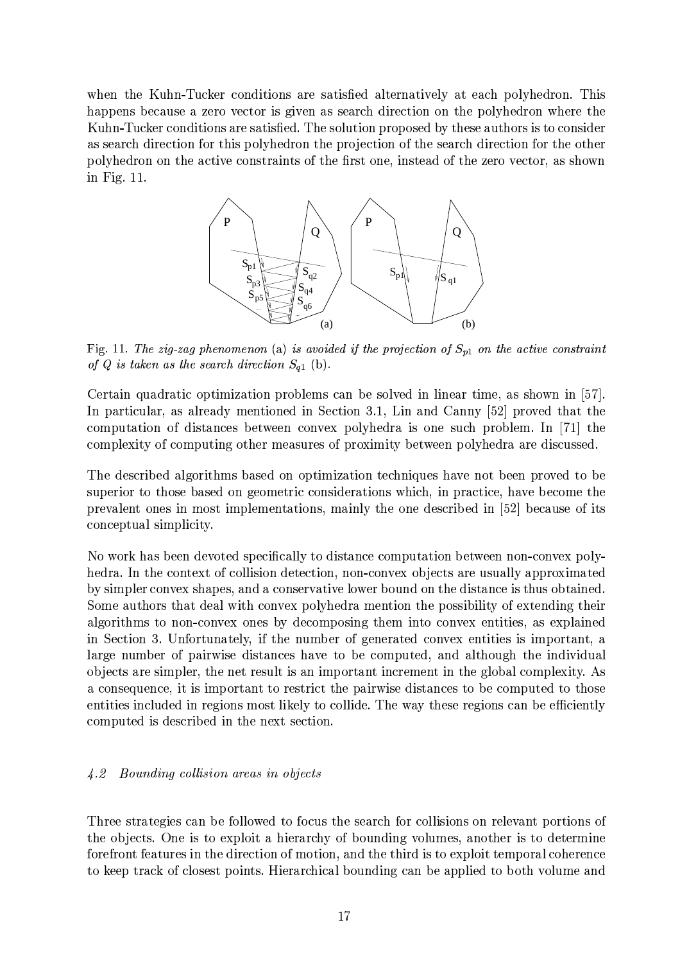when the Kuhn-Tucker conditions are satisfied alternatively at each polyhedron. This happens because a zero vector is given as search direction on the polyhedron where the Kuhn-Tucker conditions are satisfied. The solution proposed by these authors is to consider as search direction for this polyhedron the projection of the search direction for the other polyhedron on the active constraints of the first one, instead of the zero vector, as shown in Fig. 11.



Fig. 11. The zig-zag phenomenon (a) is avoided if the projection of  $S_{p1}$  on the active constraint of Q is taken as the search direction  $S_{q1}$  (b).

Certain quadratic optimization problems can be solved in linear time, as shown in [57]. In particular, as already mentioned in Section 3.1, Lin and Canny [52] proved that the computation of distances between convex polyhedra is one such problem. In [71] the complexity of computing other measures of proximity between polyhedra are discussed.

The described algorithms based on optimization techniques have not been proved to be superior to those based on geometric considerations which, in practice, have become the prevalent ones in most implementations, mainly the one described in [52] because of its conceptual simplicity.

No work has been devoted specifically to distance computation between non-convex polyhedra. In the context of collision detection, non-convex objects are usually approximated by simpler convex shapes, and a conservative lower bound on the distance is thus obtained. Some authors that deal with convex polyhedra mention the possibility of extending their algorithms to non-convex ones by decomposing them into convex entities, as explained in Section 3. Unfortunately, if the number of generated convex entities is important, a large number of pairwise distances have to be computed, and although the individual objects are simpler, the net result is an important increment in the global complexity. As a consequence, it is important to restrict the pairwise distances to be computed to those entities included in regions most likely to collide. The way these regions can be efficiently computed is described in the next section.

#### Bounding collision areas in objects  $\lambda$ . 2

Three strategies can be followed to focus the search for collisions on relevant portions of the objects. One is to exploit a hierarchy of bounding volumes, another is to determine forefront features in the direction of motion, and the third is to exploit temporal coherence to keep track of closest points. Hierarchical bounding can be applied to both volume and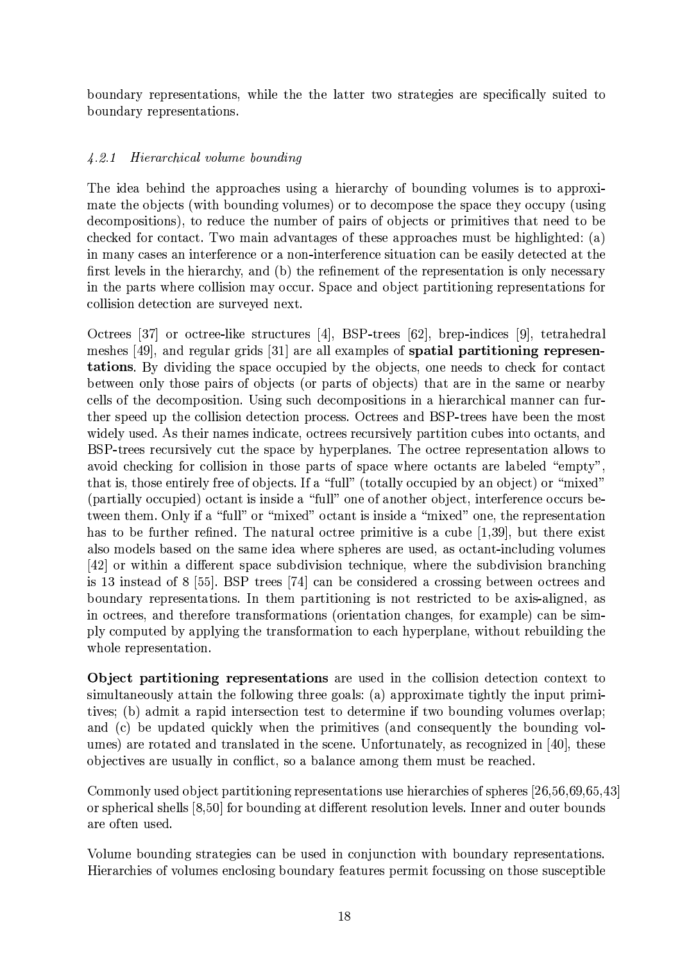boundary representations, while the the latter two strategies are specifically suited to boundary representations.

#### $4.2.1$ *Hierarchical volume bounding*

The idea behind the approaches using a hierarchy of bounding volumes is to approximate the objects (with bounding volumes) or to decompose the space they occupy (using decompositions), to reduce the number of pairs of objects or primitives that need to be checked for contact. Two main advantages of these approaches must be highlighted: (a) in many cases an interference or a non-interference situation can be easily detected at the first levels in the hierarchy, and (b) the refinement of the representation is only necessary in the parts where collision may occur. Space and object partitioning representations for collision detection are surveyed next.

Octrees [37] or octree-like structures [4], BSP-trees [62], brep-indices [9], tetrahedral meshes [49], and regular grids [31] are all examples of spatial partitioning representations. By dividing the space occupied by the objects, one needs to check for contact between only those pairs of objects (or parts of objects) that are in the same or nearby cells of the decomposition. Using such decompositions in a hierarchical manner can further speed up the collision detection process. Octrees and BSP-trees have been the most widely used. As their names indicate, octrees recursively partition cubes into octants, and BSP-trees recursively cut the space by hyperplanes. The octree representation allows to avoid checking for collision in those parts of space where octants are labeled "empty", that is, those entirely free of objects. If a "full" (totally occupied by an object) or "mixed" (partially occupied) octant is inside a "full" one of another object, interference occurs between them. Only if a "full" or "mixed" octant is inside a "mixed" one, the representation has to be further refined. The natural octree primitive is a cube [1,39], but there exist also models based on the same idea where spheres are used, as octant-including volumes  $[42]$  or within a different space subdivision technique, where the subdivision branching is 13 instead of 8 [55]. BSP trees [74] can be considered a crossing between octrees and boundary representations. In them partitioning is not restricted to be axis-aligned, as in octrees, and therefore transformations (orientation changes, for example) can be simply computed by applying the transformation to each hyperplane, without rebuilding the whole representation.

Object partitioning representations are used in the collision detection context to simultaneously attain the following three goals: (a) approximate tightly the input primitives; (b) admit a rapid intersection test to determine if two bounding volumes overlap; and (c) be updated quickly when the primitives (and consequently the bounding volumes) are rotated and translated in the scene. Unfortunately, as recognized in [40], these objectives are usually in conflict, so a balance among them must be reached.

Commonly used object partitioning representations use hierarchies of spheres [26,56,69,65,43] or spherical shells [8,50] for bounding at different resolution levels. Inner and outer bounds are often used.

Volume bounding strategies can be used in conjunction with boundary representations. Hierarchies of volumes enclosing boundary features permit focussing on those susceptible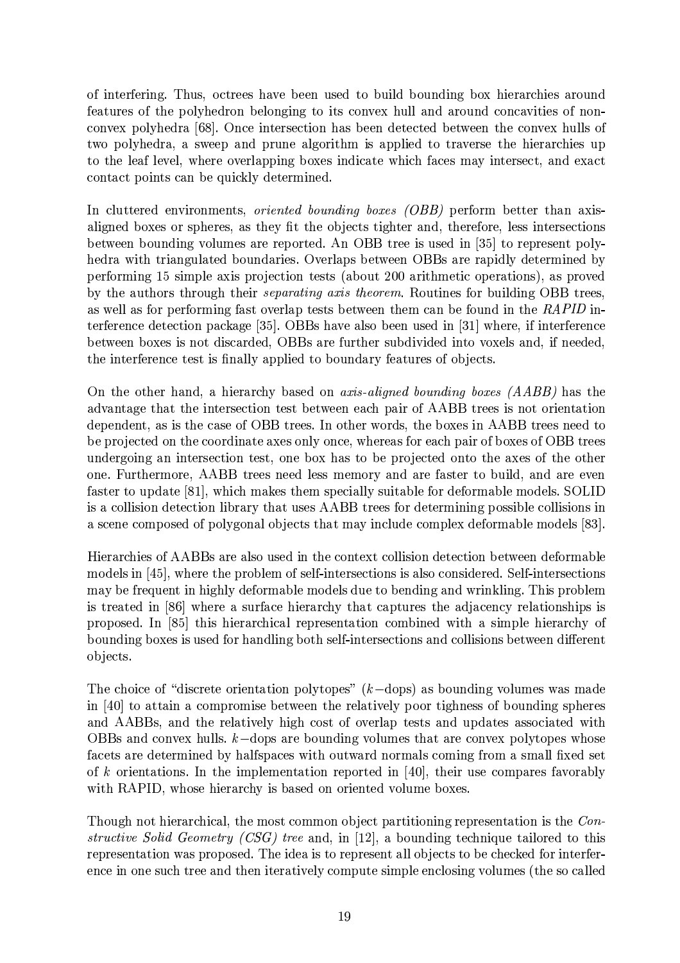of interfering. Thus, octrees have been used to build bounding box hierarchies around features of the polyhedron belonging to its convex hull and around concavities of nonconvex polyhedra [68]. Once intersection has been detected between the convex hulls of two polyhedra, a sweep and prune algorithm is applied to traverse the hierarchies up to the leaf level, where overlapping boxes indicate which faces may intersect, and exact contact points can be quickly determined.

In cluttered environments, *oriented bounding boxes (OBB)* perform better than axisaligned boxes or spheres, as they fit the objects tighter and, therefore, less intersections between bounding volumes are reported. An OBB tree is used in [35] to represent polyhedra with triangulated boundaries. Overlaps between OBBs are rapidly determined by performing 15 simple axis projection tests (about 200 arithmetic operations), as proved by the authors through their *separating axis theorem*. Routines for building OBB trees, as well as for performing fast overlap tests between them can be found in the RAPID interference detection package [35]. OBBs have also been used in [31] where, if interference between boxes is not discarded, OBBs are further subdivided into voxels and, if needed, the interference test is finally applied to boundary features of objects.

On the other hand, a hierarchy based on *axis-aligned bounding boxes (AABB)* has the advantage that the intersection test between each pair of AABB trees is not orientation dependent, as is the case of OBB trees. In other words, the boxes in AABB trees need to be projected on the coordinate axes only once, whereas for each pair of boxes of OBB trees undergoing an intersection test, one box has to be projected onto the axes of the other one. Furthermore, AABB trees need less memory and are faster to build, and are even faster to update [81], which makes them specially suitable for deformable models. SOLID is a collision detection library that uses AABB trees for determining possible collisions in a scene composed of polygonal objects that may include complex deformable models [83].

Hierarchies of AABBs are also used in the context collision detection between deformable models in [45], where the problem of self-intersections is also considered. Self-intersections may be frequent in highly deformable models due to bending and wrinkling. This problem is treated in [86] where a surface hierarchy that captures the adjacency relationships is proposed. In [85] this hierarchical representation combined with a simple hierarchy of bounding boxes is used for handling both self-intersections and collisions between different objects.

The choice of "discrete orientation polytopes"  $(k-\text{dops})$  as bounding volumes was made in [40] to attain a compromise between the relatively poor tighness of bounding spheres and AABBs, and the relatively high cost of overlap tests and updates associated with OBBs and convex hulls.  $k$ -dops are bounding volumes that are convex polytopes whose facets are determined by halfspaces with outward normals coming from a small fixed set of k orientations. In the implementation reported in [40], their use compares favorably with RAPID, whose hierarchy is based on oriented volume boxes.

Though not hierarchical, the most common object partitioning representation is the Constructive Solid Geometry (CSG) tree and, in [12], a bounding technique tailored to this representation was proposed. The idea is to represent all objects to be checked for interference in one such tree and then iteratively compute simple enclosing volumes (the so called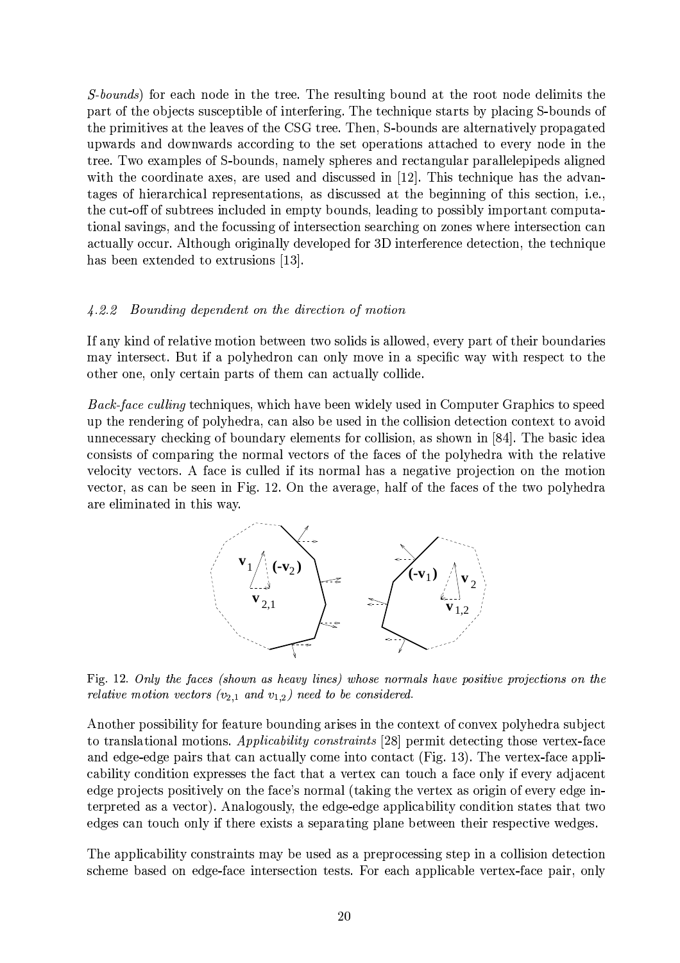*S-bounds*) for each node in the tree. The resulting bound at the root node delimits the part of the objects susceptible of interfering. The technique starts by placing S-bounds of the primitives at the leaves of the CSG tree. Then, S-bounds are alternatively propagated upwards and downwards according to the set operations attached to every node in the tree. Two examples of S-bounds, namely spheres and rectangular parallelepipeds aligned with the coordinate axes, are used and discussed in  $[12]$ . This technique has the advantages of hierarchical representations, as discussed at the beginning of this section, i.e., the cut-off of subtrees included in empty bounds, leading to possibly important computational savings, and the focussing of intersection searching on zones where intersection can actually occur. Although originally developed for 3D interference detection, the technique has been extended to extrusions [13].

#### Bounding dependent on the direction of motion  $4.2.2$

If any kind of relative motion between two solids is allowed, every part of their boundaries may intersect. But if a polyhedron can only move in a specific way with respect to the other one, only certain parts of them can actually collide.

*Back-face culling* techniques, which have been widely used in Computer Graphics to speed up the rendering of polyhedra, can also be used in the collision detection context to avoid unnecessary checking of boundary elements for collision, as shown in [84]. The basic idea consists of comparing the normal vectors of the faces of the polyhedra with the relative velocity vectors. A face is culled if its normal has a negative projection on the motion vector, as can be seen in Fig. 12. On the average, half of the faces of the two polyhedra are eliminated in this way.



Fig. 12. Only the faces (shown as heavy lines) whose normals have positive projections on the *relative motion vectors*  $(v_{2,1}$  and  $v_{1,2}$ ) need to be considered.

Another possibility for feature bounding arises in the context of convex polyhedra subject to translational motions. Applicability constraints [28] permit detecting those vertex-face and edge-edge pairs that can actually come into contact (Fig. 13). The vertex-face applicability condition expresses the fact that a vertex can touch a face only if every adjacent edge projects positively on the face's normal (taking the vertex as origin of every edge interpreted as a vector). Analogously, the edge-edge applicability condition states that two edges can touch only if there exists a separating plane between their respective wedges.

The applicability constraints may be used as a preprocessing step in a collision detection scheme based on edge-face intersection tests. For each applicable vertex-face pair, only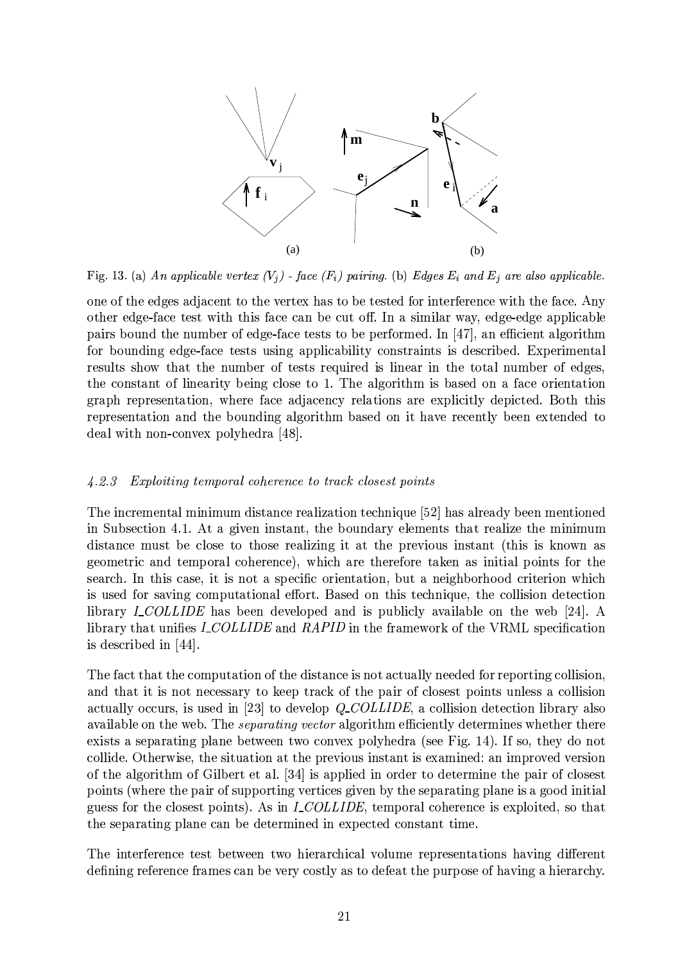

Fig. 13. (a) An applicable vertex  $(V_j)$  - face  $(F_i)$  pairing. (b) Edges  $E_i$  and  $E_j$  are also applicable.

one of the edges adjacent to the vertex has to be tested for interference with the face. Any other edge-face test with this face can be cut off. In a similar way, edge-edge applicable pairs bound the number of edge-face tests to be performed. In  $[47]$ , an efficient algorithm for bounding edge-face tests using applicability constraints is described. Experimental results show that the number of tests required is linear in the total number of edges, the constant of linearity being close to 1. The algorithm is based on a face orientation graph representation, where face adjacency relations are explicitly depicted. Both this representation and the bounding algorithm based on it have recently been extended to deal with non-convex polyhedra [48].

#### $4.2.3$ Exploiting temporal coherence to track closest points

The incremental minimum distance realization technique [52] has already been mentioned in Subsection 4.1. At a given instant, the boundary elements that realize the minimum distance must be close to those realizing it at the previous instant (this is known as geometric and temporal coherence), which are therefore taken as initial points for the search. In this case, it is not a specific orientation, but a neighborhood criterion which is used for saving computational effort. Based on this technique, the collision detection library *I\_COLLIDE* has been developed and is publicly available on the web [24]. A library that unifies *LCOLLIDE* and *RAPID* in the framework of the VRML specification is described in  $[44]$ .

The fact that the computation of the distance is not actually needed for reporting collision, and that it is not necessary to keep track of the pair of closest points unless a collision actually occurs, is used in [23] to develop *Q\_COLLIDE*, a collision detection library also available on the web. The *separating vector* algorithm efficiently determines whether there exists a separating plane between two convex polyhedra (see Fig. 14). If so, they do not collide. Otherwise, the situation at the previous instant is examined: an improved version of the algorithm of Gilbert et al. [34] is applied in order to determine the pair of closest points (where the pair of supporting vertices given by the separating plane is a good initial guess for the closest points). As in *LCOLLIDE*, temporal coherence is exploited, so that the separating plane can be determined in expected constant time.

The interference test between two hierarchical volume representations having different defining reference frames can be very costly as to defeat the purpose of having a hierarchy.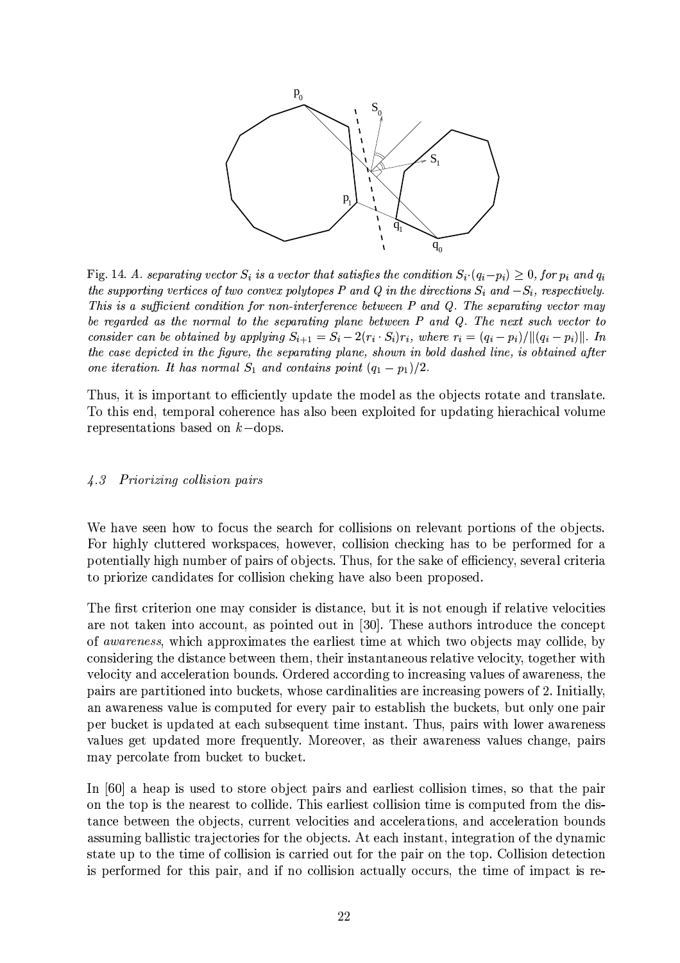

Fig. 14. A. separating vector  $S_i$  is a vector that satisfies the condition  $S_i \cdot (q_i - p_i) \geq 0$ , for  $p_i$  and  $q_i$ the supporting vertices of two convex polytopes P and Q in the directions  $S_i$  and  $-S_i$ , respectively. This is a sufficient condition for non-interference between  $P$  and  $Q$ . The separating vector may be regarded as the normal to the separating plane between  $P$  and  $Q$ . The next such vector to consider can be obtained by applying  $S_{i+1} = S_i - 2(r_i \cdot S_i) r_i$ , where  $r_i = (q_i - p_i) / ||(q_i - p_i)||$ . In the case depicted in the figure, the separating plane, shown in bold dashed line, is obtained after one iteration. It has normal  $S_1$  and contains point  $(q_1-p_1)/2$ .

Thus, it is important to efficiently update the model as the objects rotate and translate. To this end, temporal coherence has also been exploited for updating hierachical volume representations based on  $k$ -dops.

#### $\lambda.\,3$ *Priorizing collision pairs*

We have seen how to focus the search for collisions on relevant portions of the objects. For highly cluttered workspaces, however, collision checking has to be performed for a potentially high number of pairs of objects. Thus, for the sake of efficiency, several criteria to priorize candidates for collision cheking have also been proposed.

The first criterion one may consider is distance, but it is not enough if relative velocities are not taken into account, as pointed out in [30]. These authors introduce the concept of *awareness*, which approximates the earliest time at which two objects may collide, by considering the distance between them, their instantaneous relative velocity, together with velocity and acceleration bounds. Ordered according to increasing values of awareness, the pairs are partitioned into buckets, whose cardinalities are increasing powers of 2. Initially, an awareness value is computed for every pair to establish the buckets, but only one pair per bucket is updated at each subsequent time instant. Thus, pairs with lower awareness values get updated more frequently. Moreover, as their awareness values change, pairs may percolate from bucket to bucket.

In [60] a heap is used to store object pairs and earliest collision times, so that the pair on the top is the nearest to collide. This earliest collision time is computed from the distance between the objects, current velocities and accelerations, and acceleration bounds assuming ballistic trajectories for the objects. At each instant, integration of the dynamic state up to the time of collision is carried out for the pair on the top. Collision detection is performed for this pair, and if no collision actually occurs, the time of impact is re-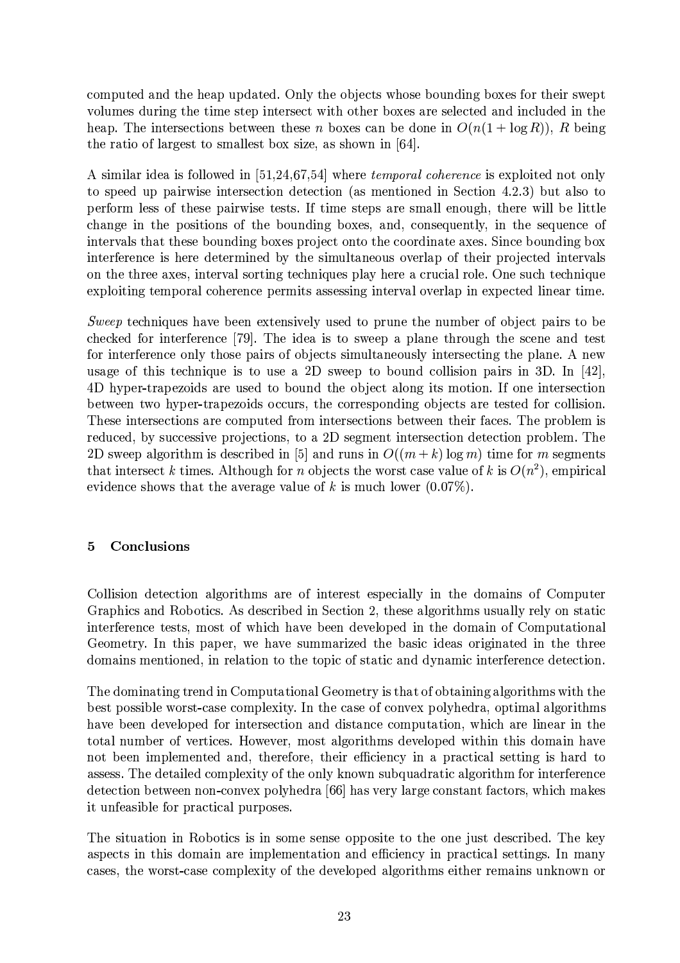computed and the heap updated. Only the objects whose bounding boxes for their swept volumes during the time step intersect with other boxes are selected and included in the heap. The intersections between these n boxes can be done in  $O(n(1 + \log R))$ , R being the ratio of largest to smallest box size, as shown in [64].

A similar idea is followed in [51,24,67,54] where *temporal coherence* is exploited not only to speed up pairwise intersection detection (as mentioned in Section  $4.2.3$ ) but also to perform less of these pairwise tests. If time steps are small enough, there will be little change in the positions of the bounding boxes, and, consequently, in the sequence of intervals that these bounding boxes project onto the coordinate axes. Since bounding box interference is here determined by the simultaneous overlap of their projected intervals on the three axes, interval sorting techniques play here a crucial role. One such technique exploiting temporal coherence permits assessing interval overlap in expected linear time.

*Sweep* techniques have been extensively used to prune the number of object pairs to be checked for interference [79]. The idea is to sweep a plane through the scene and test for interference only those pairs of objects simultaneously intersecting the plane. A new usage of this technique is to use a 2D sweep to bound collision pairs in 3D. In  $[42]$ , 4D hyper-trapezoids are used to bound the object along its motion. If one intersection between two hyper-trapezoids occurs, the corresponding objects are tested for collision. These intersections are computed from intersections between their faces. The problem is reduced, by successive projections, to a 2D segment intersection detection problem. The 2D sweep algorithm is described in [5] and runs in  $O((m+k)\log m)$  time for m segments that intersect k times. Although for n objects the worst case value of k is  $O(n^2)$ , empirical evidence shows that the average value of k is much lower  $(0.07\%)$ .

#### Conclusions  $\overline{5}$

Collision detection algorithms are of interest especially in the domains of Computer Graphics and Robotics. As described in Section 2, these algorithms usually rely on static interference tests, most of which have been developed in the domain of Computational Geometry. In this paper, we have summarized the basic ideas originated in the three domains mentioned, in relation to the topic of static and dynamic interference detection.

The dominating trend in Computational Geometry is that of obtaining algorithms with the best possible worst-case complexity. In the case of convex polyhedra, optimal algorithms have been developed for intersection and distance computation, which are linear in the total number of vertices. However, most algorithms developed within this domain have not been implemented and, therefore, their efficiency in a practical setting is hard to assess. The detailed complexity of the only known subquadratic algorithm for interference detection between non-convex polyhedra [66] has very large constant factors, which makes it unfeasible for practical purposes.

The situation in Robotics is in some sense opposite to the one just described. The key aspects in this domain are implementation and efficiency in practical settings. In many cases, the worst-case complexity of the developed algorithms either remains unknown or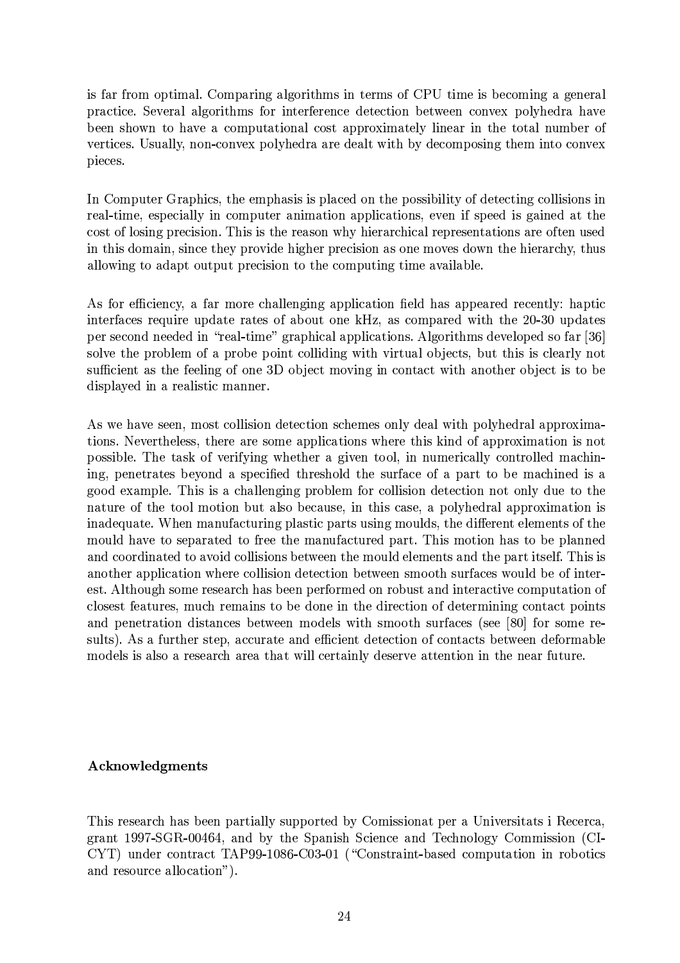is far from optimal. Comparing algorithms in terms of CPU time is becoming a general practice. Several algorithms for interference detection between convex polyhedra have been shown to have a computational cost approximately linear in the total number of vertices. Usually, non-convex polyhedra are dealt with by decomposing them into convex pieces.

In Computer Graphics, the emphasis is placed on the possibility of detecting collisions in real-time, especially in computer animation applications, even if speed is gained at the cost of losing precision. This is the reason why hierarchical representations are often used in this domain, since they provide higher precision as one moves down the hierarchy, thus allowing to adapt output precision to the computing time available.

As for efficiency, a far more challenging application field has appeared recently: haptic interfaces require update rates of about one kHz, as compared with the 20-30 updates per second needed in "real-time" graphical applications. Algorithms developed so far [36] solve the problem of a probe point colliding with virtual objects, but this is clearly not sufficient as the feeling of one 3D object moving in contact with another object is to be displayed in a realistic manner.

As we have seen, most collision detection schemes only deal with polyhedral approximations. Nevertheless, there are some applications where this kind of approximation is not possible. The task of verifying whether a given tool, in numerically controlled machining, penetrates beyond a specified threshold the surface of a part to be machined is a good example. This is a challenging problem for collision detection not only due to the nature of the tool motion but also because, in this case, a polyhedral approximation is inadequate. When manufacturing plastic parts using moulds, the different elements of the mould have to separated to free the manufactured part. This motion has to be planned and coordinated to avoid collisions between the mould elements and the part itself. This is another application where collision detection between smooth surfaces would be of interest. Although some research has been performed on robust and interactive computation of closest features, much remains to be done in the direction of determining contact points and penetration distances between models with smooth surfaces (see [80] for some results). As a further step, accurate and efficient detection of contacts between deformable models is also a research area that will certainly deserve attention in the near future.

## Acknowledgments

This research has been partially supported by Comissionat per a Universitats i Recerca. grant 1997-SGR-00464, and by the Spanish Science and Technology Commission (CI-CYT) under contract TAP99-1086-C03-01 ("Constraint-based computation in robotics and resource allocation").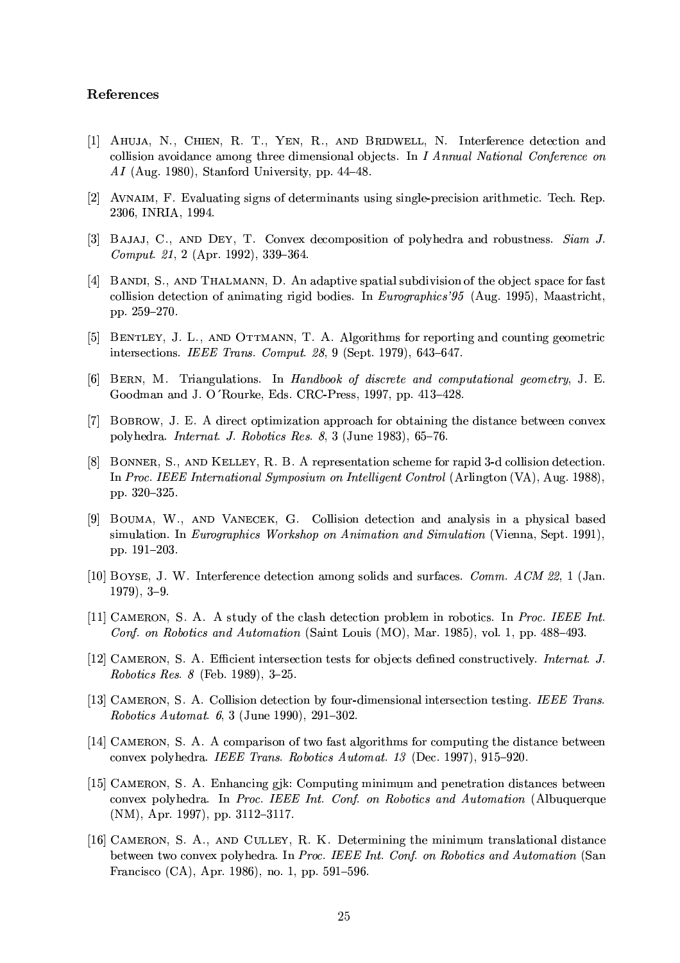### References

- [1] AHUJA, N., CHIEN, R. T., YEN, R., AND BRIDWELL, N. Interference detection and collision avoidance among three dimensional objects. In I Annual National Conference on  $AI$  (Aug. 1980), Stanford University, pp. 44–48.
- [2] AVNAIM, F. Evaluating signs of determinants using single-precision arithmetic. Tech. Rep. 2306, INRIA, 1994.
- [3] BAJAJ, C., AND DEY, T. Convex decomposition of polyhedra and robustness. Siam J. Comput. 21, 2 (Apr. 1992), 339-364.
- [4] BANDI, S., AND THALMANN, D. An adaptive spatial subdivision of the object space for fast collision detection of animating rigid bodies. In *Eurographics'95* (Aug. 1995), Maastricht, pp. 259-270.
- [5] BENTLEY, J. L., AND OTTMANN, T. A. Algorithms for reporting and counting geometric intersections. IEEE Trans. Comput. 28, 9 (Sept. 1979),  $643-647$ .
- [6] BERN, M. Triangulations. In *Handbook of discrete and computational geometry*, J. E. Goodman and J. O'Rourke, Eds. CRC-Press, 1997, pp. 413-428.
- [7] BOBROW, J. E. A direct optimization approach for obtaining the distance between convex polyhedra. *Internat. J. Robotics Res. 8.* 3 (June 1983). 65–76.
- [8] BONNER, S., AND KELLEY, R. B. A representation scheme for rapid 3-d collision detection. In Proc. IEEE International Symposium on Intelligent Control (Arlington (VA), Aug. 1988), pp. 320-325.
- [9] BOUMA, W., AND VANECEK, G. Collision detection and analysis in a physical based simulation. In Eurographics Workshop on Animation and Simulation (Vienna, Sept. 1991), pp. 191-203.
- [10] BOYSE, J. W. Interference detection among solids and surfaces. Comm. ACM 22, 1 (Jan.  $1979, 3-9.$
- [11] CAMERON, S. A. A study of the clash detection problem in robotics. In Proc. IEEE Int. Conf. on Robotics and Automation (Saint Louis (MO), Mar. 1985), vol. 1, pp. 488–493.
- [12] CAMERON, S. A. Efficient intersection tests for objects defined constructively. Internat. J. Robotics Res. 8 (Feb. 1989), 3-25.
- [13] CAMERON, S. A. Collision detection by four-dimensional intersection testing. IEEE Trans. *Robotics Automat. 6, 3 (June 1990), 291-302.*
- [14] CAMERON, S. A. A comparison of two fast algorithms for computing the distance between convex polyhedra. IEEE Trans. Robotics Automat. 13 (Dec. 1997), 915–920.
- [15] CAMERON, S. A. Enhancing gik: Computing minimum and penetration distances between convex polyhedra. In Proc. IEEE Int. Conf. on Robotics and Automation (Albuquerque  $(NM)$ , Apr. 1997), pp. 3112-3117.
- [16] CAMERON, S. A., AND CULLEY, R. K. Determining the minimum translational distance between two convex polyhedra. In Proc. IEEE Int. Conf. on Robotics and Automation (San Francisco (CA), Apr. 1986), no. 1, pp. 591-596.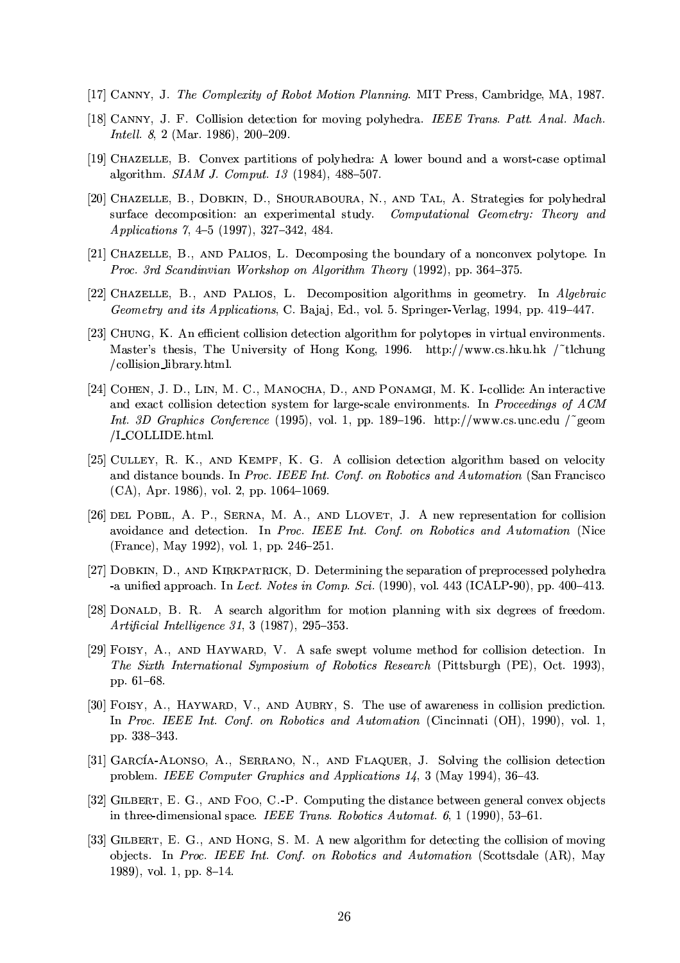- [17] CANNY, J. The Complexity of Robot Motion Planning. MIT Press, Cambridge, MA, 1987.
- [18] CANNY, J. F. Collision detection for moving polyhedra. IEEE Trans. Patt. Anal. Mach. *Intell.* 8, 2 (Mar. 1986), 200-209.
- [19] CHAZELLE, B. Convex partitions of polyhedra: A lower bound and a worst-case optimal algorithm. SIAM J. Comput. 13 (1984), 488-507.
- [20] CHAZELLE, B., DOBKIN, D., SHOURABOURA, N., AND TAL, A. Strategies for polyhedral surface decomposition: an experimental study. Computational Geometry: Theory and *Applications 7, 4-5 (1997), 327-342, 484.*
- [21] CHAZELLE, B., AND PALIOS, L. Decomposing the boundary of a nonconvex polytope. In *Proc. 3rd Scandinvian Workshop on Algorithm Theory* (1992), pp. 364–375.
- [22] CHAZELLE, B., AND PALIOS, L. Decomposition algorithms in geometry. In Algebraic Geometry and its Applications, C. Bajaj, Ed., vol. 5. Springer-Verlag, 1994, pp. 419–447.
- [23] CHUNG, K. An efficient collision detection algorithm for polytopes in virtual environments. Master's thesis, The University of Hong Kong, 1996. http://www.cs.hku.hk / tlchung /collision\_library.html.
- [24] COHEN, J. D., LIN, M. C., MANOCHA, D., AND PONAMGI, M. K. I-collide: An interactive and exact collision detection system for large-scale environments. In Proceedings of ACM Int. 3D Graphics Conference (1995), vol. 1, pp. 189–196. http://www.cs.unc.edu / geom  $/I$ <sub>COLLIDE.html</sub>
- [25] CULLEY, R. K., AND KEMPF, K. G. A collision detection algorithm based on velocity and distance bounds. In Proc. IEEE Int. Conf. on Robotics and Automation (San Francisco  $(CA)$ , Apr. 1986), vol. 2, pp. 1064–1069.
- [26] DEL POBIL, A. P., SERNA, M. A., AND LLOVET, J. A new representation for collision avoidance and detection. In Proc. IEEE Int. Conf. on Robotics and Automation (Nice (France), May 1992), vol. 1, pp. 246-251.
- [27] DOBKIN, D., AND KIRKPATRICK, D. Determining the separation of preprocessed polyhedra -a unified approach. In Lect. Notes in Comp. Sci.  $(1990)$ , vol. 443  $(ICALP-90)$ , pp. 400-413.
- [28] DONALD, B. R. A search algorithm for motion planning with six degrees of freedom. Artificial Intelligence 31, 3 (1987), 295-353.
- [29] FOISY, A., AND HAYWARD, V. A safe swept volume method for collision detection. In The Sixth International Symposium of Robotics Research (Pittsburgh (PE), Oct. 1993), pp. 61-68.
- [30] FOISY, A., HAYWARD, V., AND AUBRY, S. The use of awareness in collision prediction. In Proc. IEEE Int. Conf. on Robotics and Automation (Cincinnati (OH), 1990), vol. 1, pp. 338-343.
- [31] GARCÍA-ALONSO, A., SERRANO, N., AND FLAQUER, J. Solving the collision detection problem. IEEE Computer Graphics and Applications  $14, 3$  (May 1994), 36–43.
- [32] GILBERT, E. G., AND FOO, C.-P. Computing the distance between general convex objects in three-dimensional space. IEEE Trans. Robotics Automat. 6, 1 (1990),  $53-61$ .
- [33] GILBERT, E. G., AND HONG, S. M. A new algorithm for detecting the collision of moving objects. In Proc. IEEE Int. Conf. on Robotics and Automation (Scottsdale (AR), May 1989), vol. 1, pp.  $8-14$ .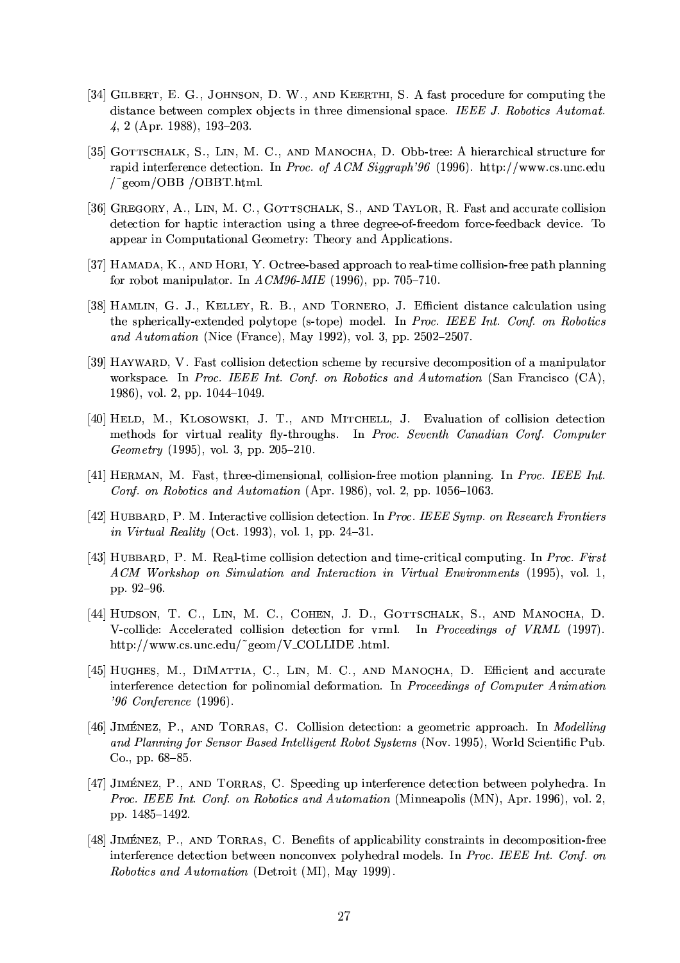- [34] GILBERT, E. G., JOHNSON, D. W., AND KEERTHI, S. A fast procedure for computing the distance between complex objects in three dimensional space. IEEE J. Robotics Automat.  $\lambda$ , 2 (Apr. 1988), 193-203.
- [35] GOTTSCHALK, S., LIN, M. C., AND MANOCHA, D. Obb-tree: A hierarchical structure for rapid interference detection. In Proc. of ACM Siggraph'96 (1996). http://www.cs.unc.edu  $\frac{1}{2}$  geom/OBB /OBBT.html.
- [36] GREGORY, A., LIN. M. C., GOTTSCHALK, S., AND TAYLOR, R. Fast and accurate collision detection for haptic interaction using a three degree-of-freedom force-feedback device. To appear in Computational Geometry: Theory and Applications.
- [37] HAMADA, K., AND HORI, Y. Octree-based approach to real-time collision-free path planning for robot manipulator. In  $ACM96-MIE$  (1996), pp. 705-710.
- [38] HAMLIN, G. J., KELLEY, R. B., AND TORNERO, J. Efficient distance calculation using the spherically-extended polytope (s-tope) model. In Proc. IEEE Int. Conf. on Robotics and Automation (Nice (France), May 1992), vol. 3, pp.  $2502-2507$ .
- [39] HAYWARD, V. Fast collision detection scheme by recursive decomposition of a manipulator workspace. In Proc. IEEE Int. Conf. on Robotics and Automation (San Francisco  $(CA)$ , 1986), vol. 2, pp. 1044-1049.
- [40] HELD, M., KLOSOWSKI, J. T., AND MITCHELL, J. Evaluation of collision detection methods for virtual reality fly-throughs. In Proc. Seventh Canadian Conf. Computer *Geometry* (1995), vol. 3, pp. 205–210.
- [41] HERMAN, M. Fast, three-dimensional, collision-free motion planning. In Proc. IEEE Int. Conf. on Robotics and Automation (Apr. 1986), vol. 2, pp.  $1056-1063$ .
- [42] HUBBARD, P. M. Interactive collision detection. In Proc. IEEE Symp. on Research Frontiers *in Virtual Reality* (Oct. 1993), vol. 1, pp. 24-31.
- [43] HUBBARD, P. M. Real-time collision detection and time-critical computing. In Proc. First ACM Workshop on Simulation and Interaction in Virtual Environments (1995), vol. 1, pp. 92-96.
- [44] HUDSON, T. C., LIN, M. C., COHEN, J. D., GOTTSCHALK, S., AND MANOCHA, D. V-collide: Accelerated collision detection for vrml. In Proceedings of VRML (1997). http://www.cs.unc.edu/~geom/V\_COLLIDE.html.
- [45] HUGHES, M., DIMATTIA, C., LIN, M. C., AND MANOCHA, D. Efficient and accurate interference detection for polinomial deformation. In Proceedings of Computer Animation  $'96$  Conference (1996).
- [46] JIMÉNEZ, P., AND TORRAS, C. Collision detection: a geometric approach. In *Modelling* and Planning for Sensor Based Intelligent Robot Systems (Nov. 1995), World Scientific Pub. Co., pp. 68-85.
- [47] JIMÉNEZ, P., AND TORRAS, C. Speeding up interference detection between polyhedra. In *Proc. IEEE Int. Conf. on Robotics and Automation (Minneapolis (MN), Apr. 1996), vol. 2,* pp. 1485-1492.
- [48] JIMÉNEZ, P., AND TORRAS, C. Benefits of applicability constraints in decomposition-free interference detection between nonconvex polyhedral models. In Proc. IEEE Int. Conf. on *Robotics and Automation (Detroit (MI), May 1999).*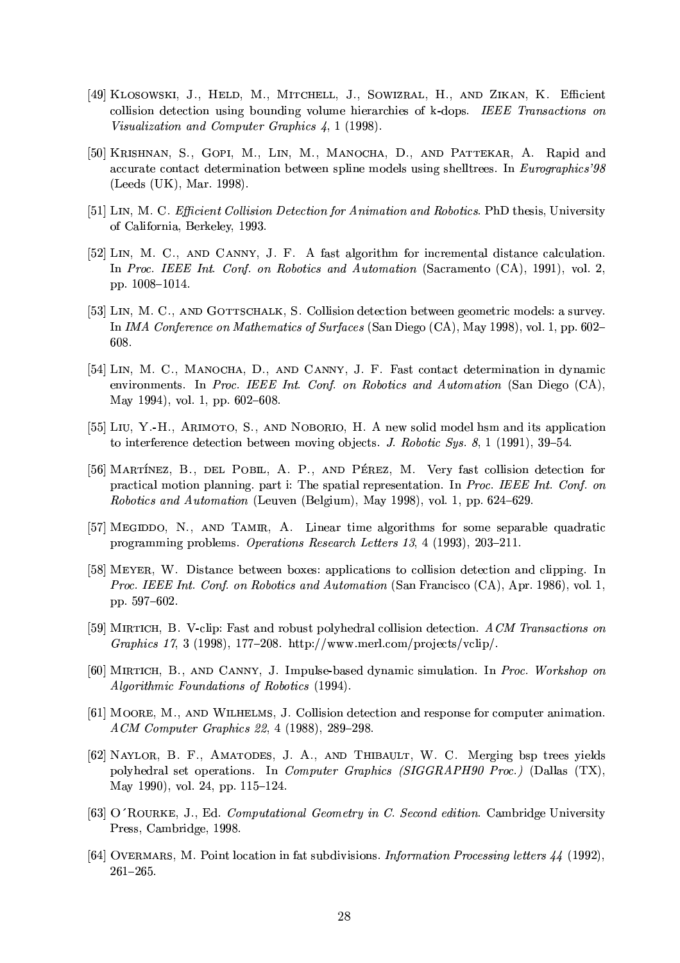- [49] KLOSOWSKI, J., HELD, M., MITCHELL, J., SOWIZRAL, H., AND ZIKAN, K. Efficient collision detection using bounding volume hierarchies of k-dops. IEEE Transactions on Visualization and Computer Graphics 4, 1 (1998).
- [50] KRISHNAN, S., GOPI, M., LIN, M., MANOCHA, D., AND PATTEKAR, A. Rapid and accurate contact determination between spline models using shelltrees. In Eurographics'98 (Leeds (UK), Mar. 1998).
- [51] LIN, M. C. Efficient Collision Detection for Animation and Robotics. PhD thesis, University of California, Berkeley, 1993.
- [52] LIN, M. C., AND CANNY, J. F. A fast algorithm for incremental distance calculation. In Proc. IEEE Int. Conf. on Robotics and Automation (Sacramento (CA), 1991), vol. 2, pp. 1008-1014.
- [53] LIN, M. C., AND GOTTSCHALK, S. Collision detection between geometric models: a survey. In IMA Conference on Mathematics of Surfaces (San Diego (CA), May 1998), vol. 1, pp. 602– 608.
- [54] LIN, M. C., MANOCHA, D., AND CANNY, J. F. Fast contact determination in dynamic environments. In Proc. IEEE Int. Conf. on Robotics and Automation (San Diego  $(CA)$ ). May 1994), vol. 1, pp. 602-608.
- [55] LIU, Y.-H., ARIMOTO, S., AND NOBORIO, H. A new solid model hsm and its application to interference detection between moving objects. J. Robotic Sys. 8, 1 (1991), 39–54.
- [56] MARTÍNEZ, B., DEL POBIL, A. P., AND PÉREZ, M. Very fast collision detection for practical motion planning. part i: The spatial representation. In Proc. IEEE Int. Conf. on *Robotics and Automation* (Leuven (Belgium), May 1998), vol. 1, pp. 624–629.
- [57] MEGIDDO, N., AND TAMIR, A. Linear time algorithms for some separable quadratic programming problems. Operations Research Letters 13, 4 (1993), 203-211.
- [58] MEYER, W. Distance between boxes: applications to collision detection and clipping. In *Proc. IEEE Int. Conf. on Robotics and Automation* (San Francisco (CA), Apr. 1986), vol. 1, pp. 597-602.
- [59] MIRTICH, B. V-clip: Fast and robust polyhedral collision detection. ACM Transactions on Graphics 17, 3 (1998), 177-208. http://www.merl.com/projects/vclip/.
- [60] MIRTICH, B., AND CANNY, J. Impulse-based dynamic simulation. In Proc. Workshop on *Algorithmic Foundations of Robotics* (1994).
- [61] MOORE, M., AND WILHELMS, J. Collision detection and response for computer animation.  $ACM$  Computer Graphics 22, 4 (1988), 289-298.
- [62] NAYLOR, B. F., AMATODES, J. A., AND THIBAULT, W. C. Merging bsp trees yields polyhedral set operations. In *Computer Graphics (SIGGRAPH90 Proc.)* (Dallas (TX), May 1990), vol. 24, pp. 115–124.
- [63] O'ROURKE, J., Ed. Computational Geometry in C. Second edition. Cambridge University Press, Cambridge, 1998.
- [64] OVERMARS, M. Point location in fat subdivisions. Information Processing letters  $44$  (1992),  $261 - 265.$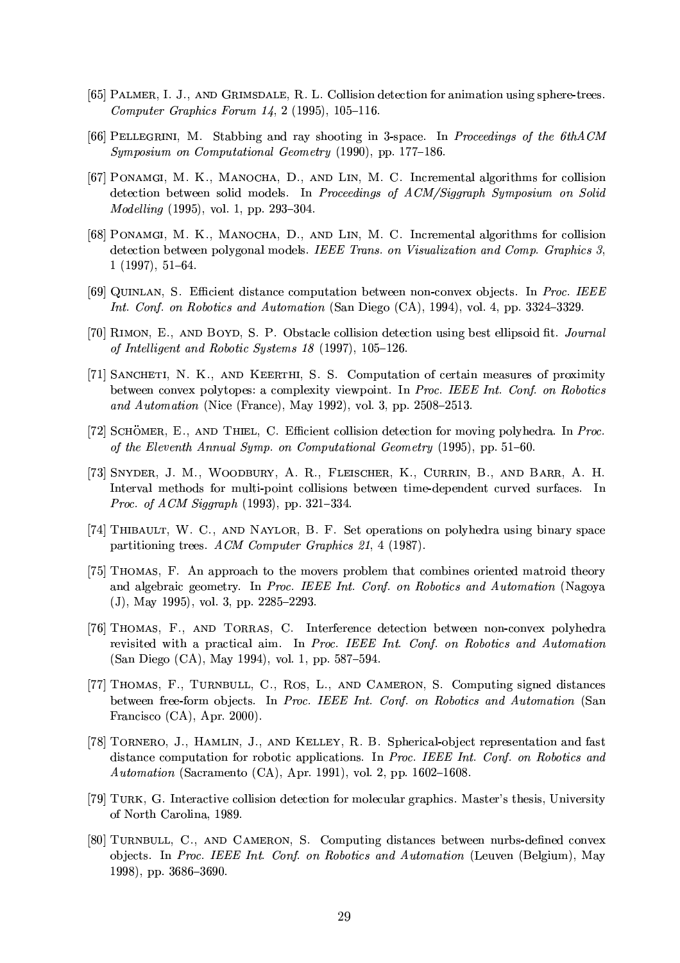- [65] PALMER, I. J., AND GRIMSDALE, R. L. Collision detection for animation using sphere-trees. Computer Graphics Forum  $14, 2$  (1995), 105-116.
- [66] PELLEGRINI, M. Stabbing and ray shooting in 3-space. In Proceedings of the 6thACM *Symposium on Computational Geometry* (1990), pp. 177–186.
- [67] PONAMGI, M. K., MANOCHA, D., AND LIN, M. C. Incremental algorithms for collision detection between solid models. In Proceedings of ACM/Siggraph Symposium on Solid *Modelling* (1995), vol. 1, pp. 293-304.
- [68] PONAMGI, M. K., MANOCHA, D., AND LIN, M. C. Incremental algorithms for collision detection between polygonal models. IEEE Trans. on Visualization and Comp. Graphics 3,  $1(1997), 51-64.$
- [69] QUINLAN, S. Efficient distance computation between non-convex objects. In *Proc. IEEE* Int. Conf. on Robotics and Automation (San Diego (CA), 1994), vol. 4, pp. 3324–3329.
- [70] RIMON, E., AND BOYD, S. P. Obstacle collision detection using best ellipsoid fit. *Journal* of Intelligent and Robotic Systems  $18$  (1997), 105-126.
- [71] SANCHETI, N. K., AND KEERTHI, S. S. Computation of certain measures of proximity between convex polytopes: a complexity viewpoint. In Proc. IEEE Int. Conf. on Robotics and Automation (Nice (France), May 1992), vol. 3, pp.  $2508-2513$ .
- [72] SCHÖMER, E., AND THIEL, C. Efficient collision detection for moving polyhedra. In Proc. of the Eleventh Annual Symp. on Computational Geometry (1995), pp. 51-60.
- [73] SNYDER, J. M., WOODBURY, A. R., FLEISCHER, K., CURRIN, B., AND BARR, A. H. Interval methods for multi-point collisions between time-dependent curved surfaces. In *Proc. of ACM Siggraph* (1993), pp. 321-334.
- [74] THIBAULT, W. C., AND NAYLOR, B. F. Set operations on polyhedra using binary space partitioning trees. ACM Computer Graphics 21, 4 (1987).
- [75] THOMAS, F. An approach to the movers problem that combines oriented matroid theory and algebraic geometry. In Proc. IEEE Int. Conf. on Robotics and Automation (Nagoya  $(J)$ , May 1995), vol. 3, pp. 2285–2293.
- [76] THOMAS, F., AND TORRAS, C. Interference detection between non-convex polyhedra revisited with a practical aim. In Proc. IEEE Int. Conf. on Robotics and Automation (San Diego (CA), May 1994), vol. 1, pp. 587–594.
- [77] THOMAS, F., TURNBULL, C., ROS, L., AND CAMERON, S. Computing signed distances between free-form objects. In Proc. IEEE Int. Conf. on Robotics and Automation (San Francisco  $(CA)$ , Apr. 2000).
- [78] TORNERO, J., HAMLIN, J., AND KELLEY, R. B. Spherical-object representation and fast distance computation for robotic applications. In Proc. IEEE Int. Conf. on Robotics and *Automation* (Sacramento (CA), Apr. 1991), vol. 2, pp.  $1602-1608$ .
- [79] TURK, G. Interactive collision detection for molecular graphics. Master's thesis, University of North Carolina, 1989.
- [80] TURNBULL, C., AND CAMERON, S. Computing distances between nurbs-defined convex objects. In Proc. IEEE Int. Conf. on Robotics and Automation (Leuven (Belgium), May 1998), pp.  $3686 - 3690$ .